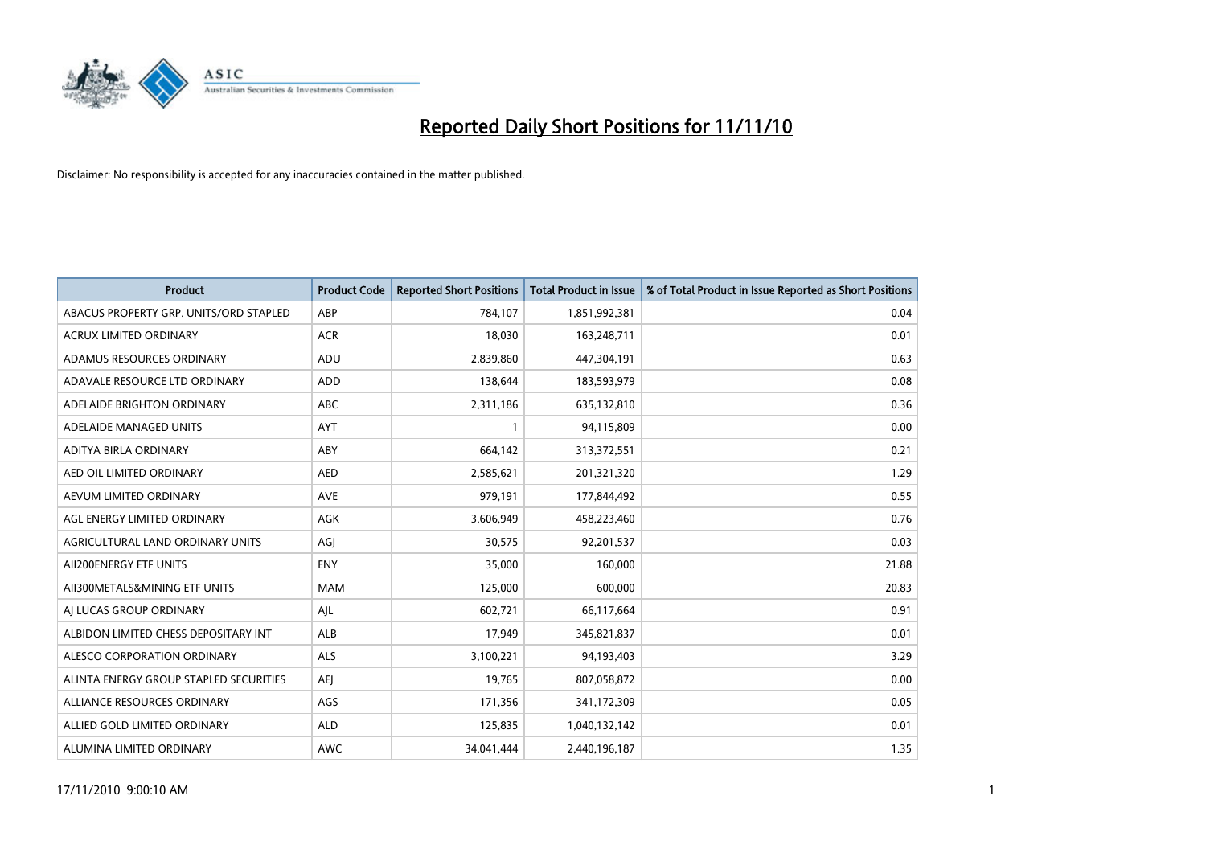

| <b>Product</b>                         | <b>Product Code</b> | <b>Reported Short Positions</b> | <b>Total Product in Issue</b> | % of Total Product in Issue Reported as Short Positions |
|----------------------------------------|---------------------|---------------------------------|-------------------------------|---------------------------------------------------------|
| ABACUS PROPERTY GRP. UNITS/ORD STAPLED | ABP                 | 784,107                         | 1,851,992,381                 | 0.04                                                    |
| ACRUX LIMITED ORDINARY                 | <b>ACR</b>          | 18,030                          | 163,248,711                   | 0.01                                                    |
| ADAMUS RESOURCES ORDINARY              | ADU                 | 2,839,860                       | 447,304,191                   | 0.63                                                    |
| ADAVALE RESOURCE LTD ORDINARY          | ADD                 | 138,644                         | 183,593,979                   | 0.08                                                    |
| ADELAIDE BRIGHTON ORDINARY             | <b>ABC</b>          | 2,311,186                       | 635,132,810                   | 0.36                                                    |
| ADELAIDE MANAGED UNITS                 | <b>AYT</b>          |                                 | 94,115,809                    | 0.00                                                    |
| ADITYA BIRLA ORDINARY                  | ABY                 | 664,142                         | 313,372,551                   | 0.21                                                    |
| AED OIL LIMITED ORDINARY               | <b>AED</b>          | 2,585,621                       | 201,321,320                   | 1.29                                                    |
| AEVUM LIMITED ORDINARY                 | <b>AVE</b>          | 979,191                         | 177,844,492                   | 0.55                                                    |
| AGL ENERGY LIMITED ORDINARY            | <b>AGK</b>          | 3,606,949                       | 458,223,460                   | 0.76                                                    |
| AGRICULTURAL LAND ORDINARY UNITS       | AGJ                 | 30,575                          | 92,201,537                    | 0.03                                                    |
| AII200ENERGY ETF UNITS                 | <b>ENY</b>          | 35,000                          | 160,000                       | 21.88                                                   |
| AII300METALS&MINING ETF UNITS          | <b>MAM</b>          | 125,000                         | 600,000                       | 20.83                                                   |
| AI LUCAS GROUP ORDINARY                | AJL                 | 602,721                         | 66,117,664                    | 0.91                                                    |
| ALBIDON LIMITED CHESS DEPOSITARY INT   | <b>ALB</b>          | 17,949                          | 345,821,837                   | 0.01                                                    |
| ALESCO CORPORATION ORDINARY            | ALS                 | 3,100,221                       | 94,193,403                    | 3.29                                                    |
| ALINTA ENERGY GROUP STAPLED SECURITIES | <b>AEI</b>          | 19,765                          | 807,058,872                   | 0.00                                                    |
| ALLIANCE RESOURCES ORDINARY            | AGS                 | 171,356                         | 341,172,309                   | 0.05                                                    |
| ALLIED GOLD LIMITED ORDINARY           | <b>ALD</b>          | 125,835                         | 1,040,132,142                 | 0.01                                                    |
| ALUMINA LIMITED ORDINARY               | <b>AWC</b>          | 34.041.444                      | 2,440,196,187                 | 1.35                                                    |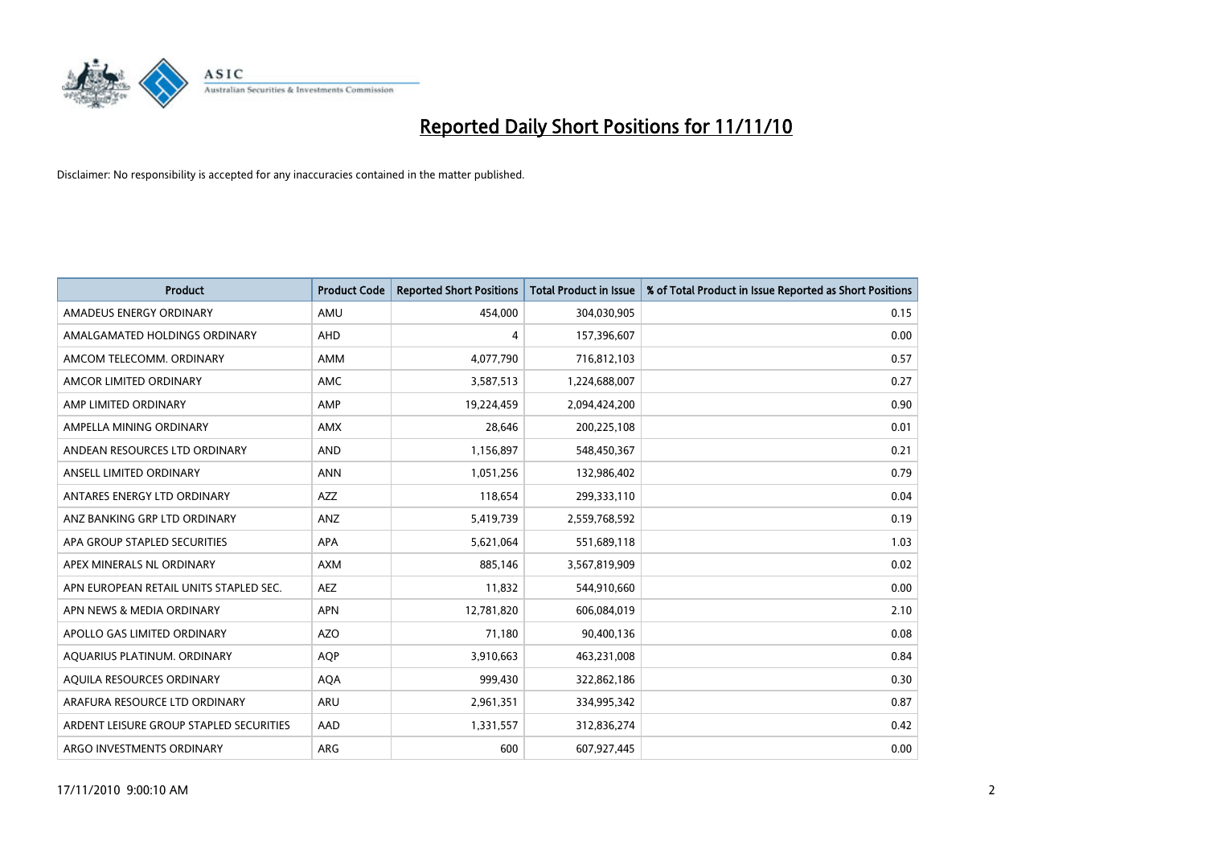

| <b>Product</b>                          | <b>Product Code</b> | <b>Reported Short Positions</b> | <b>Total Product in Issue</b> | % of Total Product in Issue Reported as Short Positions |
|-----------------------------------------|---------------------|---------------------------------|-------------------------------|---------------------------------------------------------|
| AMADEUS ENERGY ORDINARY                 | AMU                 | 454.000                         | 304,030,905                   | 0.15                                                    |
| AMALGAMATED HOLDINGS ORDINARY           | <b>AHD</b>          | 4                               | 157,396,607                   | 0.00                                                    |
| AMCOM TELECOMM, ORDINARY                | <b>AMM</b>          | 4,077,790                       | 716,812,103                   | 0.57                                                    |
| AMCOR LIMITED ORDINARY                  | <b>AMC</b>          | 3,587,513                       | 1,224,688,007                 | 0.27                                                    |
| AMP LIMITED ORDINARY                    | AMP                 | 19,224,459                      | 2,094,424,200                 | 0.90                                                    |
| AMPELLA MINING ORDINARY                 | <b>AMX</b>          | 28,646                          | 200,225,108                   | 0.01                                                    |
| ANDEAN RESOURCES LTD ORDINARY           | <b>AND</b>          | 1,156,897                       | 548,450,367                   | 0.21                                                    |
| ANSELL LIMITED ORDINARY                 | <b>ANN</b>          | 1,051,256                       | 132,986,402                   | 0.79                                                    |
| ANTARES ENERGY LTD ORDINARY             | <b>AZZ</b>          | 118,654                         | 299,333,110                   | 0.04                                                    |
| ANZ BANKING GRP LTD ORDINARY            | ANZ                 | 5,419,739                       | 2,559,768,592                 | 0.19                                                    |
| APA GROUP STAPLED SECURITIES            | <b>APA</b>          | 5,621,064                       | 551,689,118                   | 1.03                                                    |
| APEX MINERALS NL ORDINARY               | <b>AXM</b>          | 885,146                         | 3,567,819,909                 | 0.02                                                    |
| APN EUROPEAN RETAIL UNITS STAPLED SEC.  | <b>AEZ</b>          | 11,832                          | 544,910,660                   | 0.00                                                    |
| APN NEWS & MEDIA ORDINARY               | <b>APN</b>          | 12,781,820                      | 606,084,019                   | 2.10                                                    |
| APOLLO GAS LIMITED ORDINARY             | <b>AZO</b>          | 71,180                          | 90,400,136                    | 0.08                                                    |
| AQUARIUS PLATINUM. ORDINARY             | <b>AOP</b>          | 3,910,663                       | 463,231,008                   | 0.84                                                    |
| AQUILA RESOURCES ORDINARY               | <b>AQA</b>          | 999,430                         | 322,862,186                   | 0.30                                                    |
| ARAFURA RESOURCE LTD ORDINARY           | <b>ARU</b>          | 2,961,351                       | 334,995,342                   | 0.87                                                    |
| ARDENT LEISURE GROUP STAPLED SECURITIES | AAD                 | 1,331,557                       | 312,836,274                   | 0.42                                                    |
| ARGO INVESTMENTS ORDINARY               | ARG                 | 600                             | 607,927,445                   | 0.00                                                    |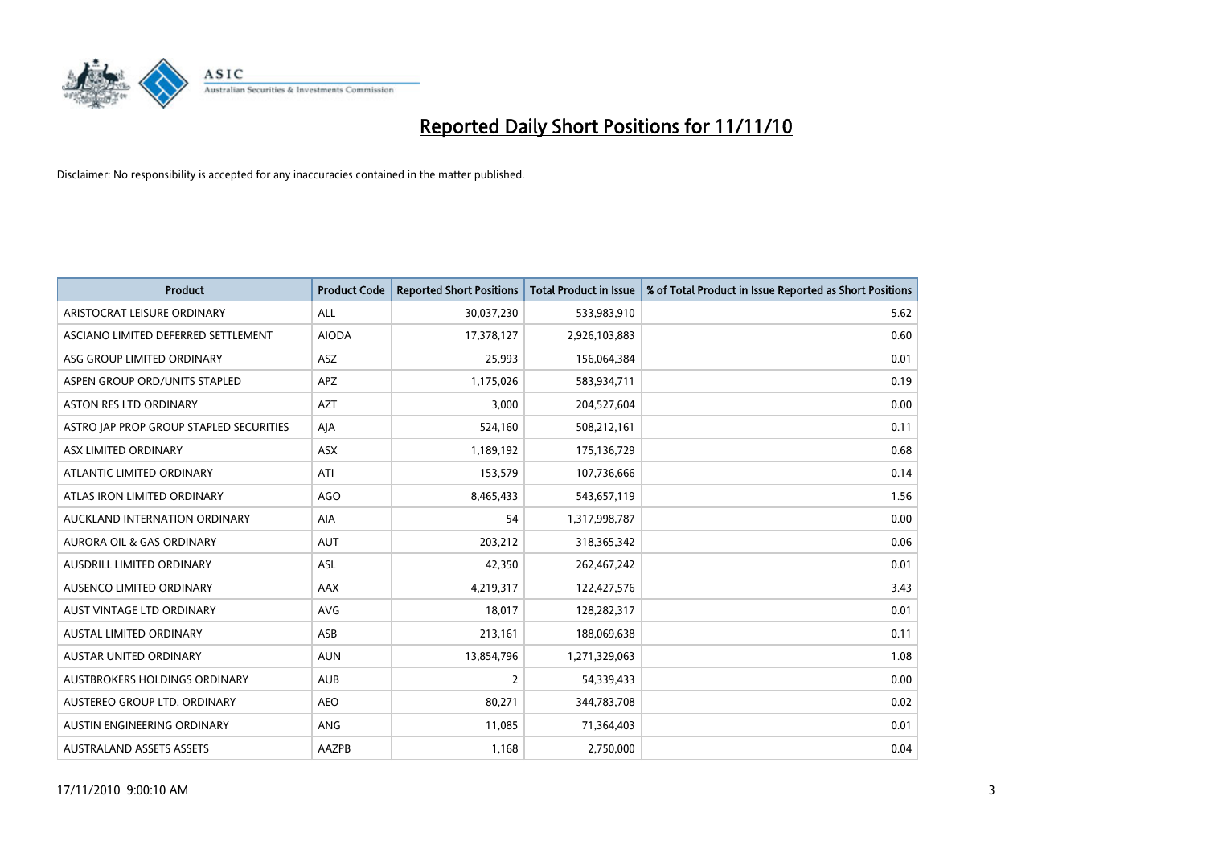

| <b>Product</b>                          | <b>Product Code</b> | <b>Reported Short Positions</b> | <b>Total Product in Issue</b> | % of Total Product in Issue Reported as Short Positions |
|-----------------------------------------|---------------------|---------------------------------|-------------------------------|---------------------------------------------------------|
| ARISTOCRAT LEISURE ORDINARY             | <b>ALL</b>          | 30,037,230                      | 533,983,910                   | 5.62                                                    |
| ASCIANO LIMITED DEFERRED SETTLEMENT     | <b>AIODA</b>        | 17,378,127                      | 2,926,103,883                 | 0.60                                                    |
| ASG GROUP LIMITED ORDINARY              | ASZ                 | 25,993                          | 156,064,384                   | 0.01                                                    |
| ASPEN GROUP ORD/UNITS STAPLED           | <b>APZ</b>          | 1,175,026                       | 583,934,711                   | 0.19                                                    |
| <b>ASTON RES LTD ORDINARY</b>           | <b>AZT</b>          | 3,000                           | 204,527,604                   | 0.00                                                    |
| ASTRO JAP PROP GROUP STAPLED SECURITIES | AJA                 | 524,160                         | 508,212,161                   | 0.11                                                    |
| ASX LIMITED ORDINARY                    | <b>ASX</b>          | 1,189,192                       | 175,136,729                   | 0.68                                                    |
| ATLANTIC LIMITED ORDINARY               | ATI                 | 153,579                         | 107,736,666                   | 0.14                                                    |
| ATLAS IRON LIMITED ORDINARY             | <b>AGO</b>          | 8,465,433                       | 543,657,119                   | 1.56                                                    |
| AUCKLAND INTERNATION ORDINARY           | <b>AIA</b>          | 54                              | 1,317,998,787                 | 0.00                                                    |
| AURORA OIL & GAS ORDINARY               | <b>AUT</b>          | 203,212                         | 318, 365, 342                 | 0.06                                                    |
| AUSDRILL LIMITED ORDINARY               | ASL                 | 42,350                          | 262,467,242                   | 0.01                                                    |
| AUSENCO LIMITED ORDINARY                | AAX                 | 4,219,317                       | 122,427,576                   | 3.43                                                    |
| AUST VINTAGE LTD ORDINARY               | <b>AVG</b>          | 18,017                          | 128,282,317                   | 0.01                                                    |
| AUSTAL LIMITED ORDINARY                 | ASB                 | 213,161                         | 188,069,638                   | 0.11                                                    |
| AUSTAR UNITED ORDINARY                  | <b>AUN</b>          | 13,854,796                      | 1,271,329,063                 | 1.08                                                    |
| AUSTBROKERS HOLDINGS ORDINARY           | <b>AUB</b>          | $\overline{2}$                  | 54,339,433                    | 0.00                                                    |
| AUSTEREO GROUP LTD. ORDINARY            | <b>AEO</b>          | 80,271                          | 344,783,708                   | 0.02                                                    |
| AUSTIN ENGINEERING ORDINARY             | <b>ANG</b>          | 11,085                          | 71,364,403                    | 0.01                                                    |
| <b>AUSTRALAND ASSETS ASSETS</b>         | AAZPB               | 1,168                           | 2,750,000                     | 0.04                                                    |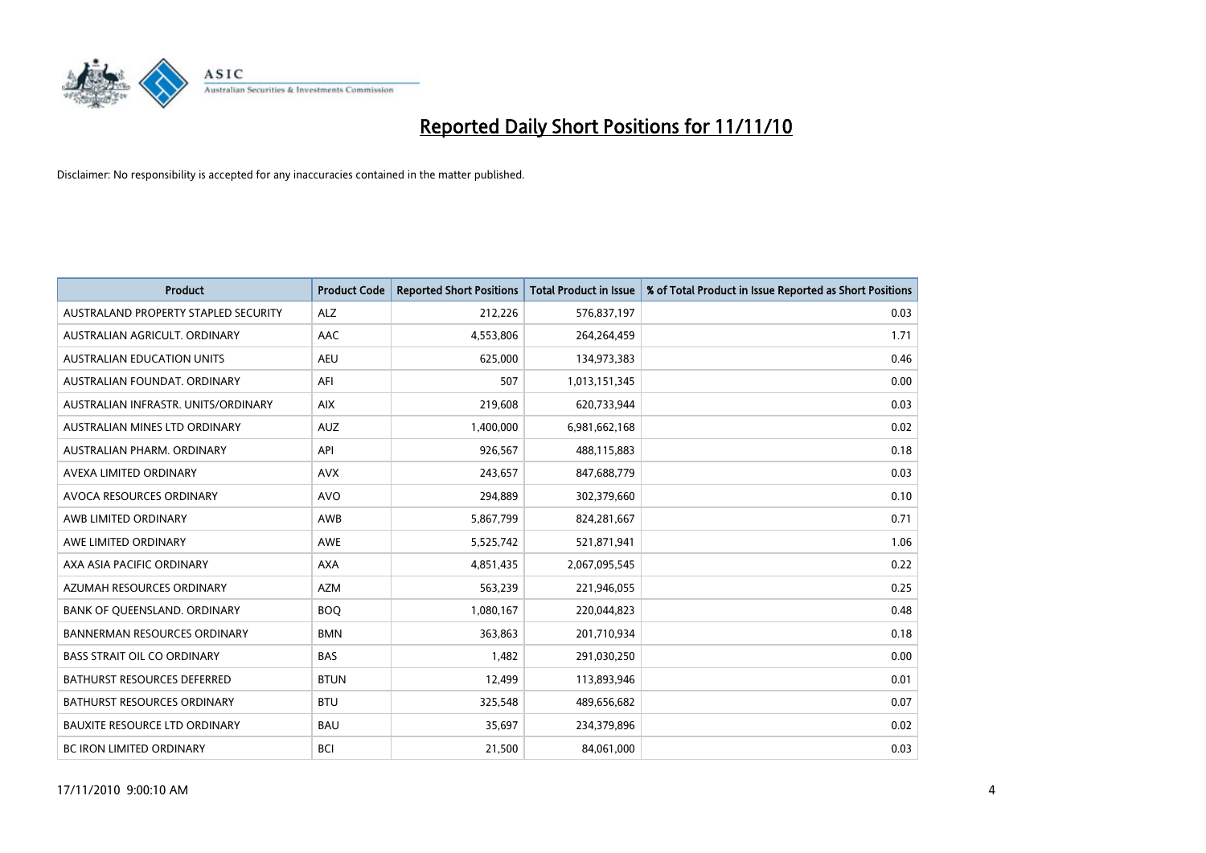

| <b>Product</b>                       | <b>Product Code</b> | <b>Reported Short Positions</b> | Total Product in Issue | % of Total Product in Issue Reported as Short Positions |
|--------------------------------------|---------------------|---------------------------------|------------------------|---------------------------------------------------------|
| AUSTRALAND PROPERTY STAPLED SECURITY | <b>ALZ</b>          | 212,226                         | 576,837,197            | 0.03                                                    |
| AUSTRALIAN AGRICULT. ORDINARY        | AAC                 | 4,553,806                       | 264,264,459            | 1.71                                                    |
| <b>AUSTRALIAN EDUCATION UNITS</b>    | <b>AEU</b>          | 625,000                         | 134,973,383            | 0.46                                                    |
| AUSTRALIAN FOUNDAT. ORDINARY         | AFI                 | 507                             | 1,013,151,345          | 0.00                                                    |
| AUSTRALIAN INFRASTR, UNITS/ORDINARY  | <b>AIX</b>          | 219,608                         | 620,733,944            | 0.03                                                    |
| AUSTRALIAN MINES LTD ORDINARY        | <b>AUZ</b>          | 1,400,000                       | 6,981,662,168          | 0.02                                                    |
| AUSTRALIAN PHARM, ORDINARY           | API                 | 926,567                         | 488,115,883            | 0.18                                                    |
| AVEXA LIMITED ORDINARY               | <b>AVX</b>          | 243,657                         | 847,688,779            | 0.03                                                    |
| AVOCA RESOURCES ORDINARY             | <b>AVO</b>          | 294,889                         | 302,379,660            | 0.10                                                    |
| AWB LIMITED ORDINARY                 | AWB                 | 5,867,799                       | 824,281,667            | 0.71                                                    |
| AWE LIMITED ORDINARY                 | <b>AWE</b>          | 5,525,742                       | 521,871,941            | 1.06                                                    |
| AXA ASIA PACIFIC ORDINARY            | <b>AXA</b>          | 4,851,435                       | 2,067,095,545          | 0.22                                                    |
| AZUMAH RESOURCES ORDINARY            | <b>AZM</b>          | 563,239                         | 221,946,055            | 0.25                                                    |
| BANK OF QUEENSLAND. ORDINARY         | <b>BOO</b>          | 1,080,167                       | 220,044,823            | 0.48                                                    |
| <b>BANNERMAN RESOURCES ORDINARY</b>  | <b>BMN</b>          | 363,863                         | 201,710,934            | 0.18                                                    |
| <b>BASS STRAIT OIL CO ORDINARY</b>   | <b>BAS</b>          | 1,482                           | 291,030,250            | 0.00                                                    |
| <b>BATHURST RESOURCES DEFERRED</b>   | <b>BTUN</b>         | 12,499                          | 113,893,946            | 0.01                                                    |
| <b>BATHURST RESOURCES ORDINARY</b>   | <b>BTU</b>          | 325,548                         | 489,656,682            | 0.07                                                    |
| <b>BAUXITE RESOURCE LTD ORDINARY</b> | <b>BAU</b>          | 35,697                          | 234,379,896            | 0.02                                                    |
| BC IRON LIMITED ORDINARY             | <b>BCI</b>          | 21,500                          | 84,061,000             | 0.03                                                    |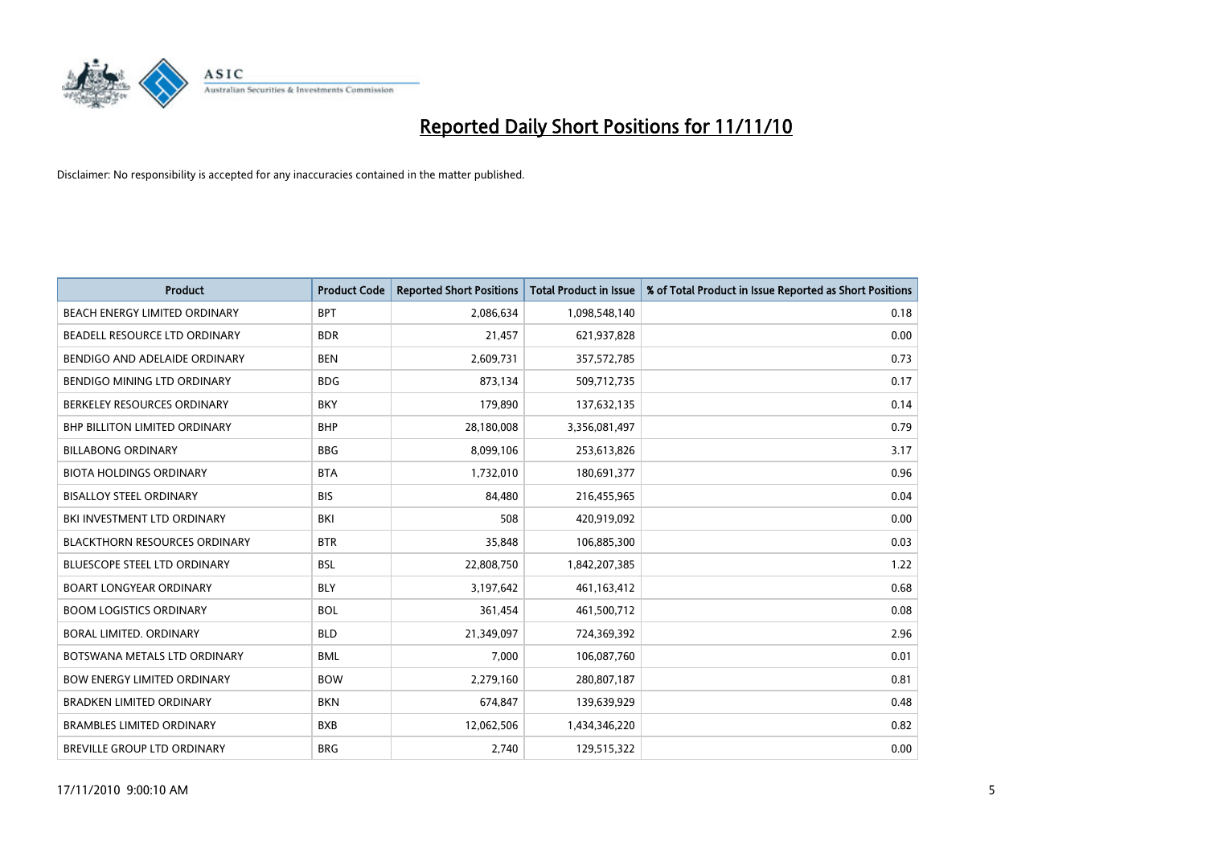

| <b>Product</b>                       | <b>Product Code</b> | <b>Reported Short Positions</b> | <b>Total Product in Issue</b> | % of Total Product in Issue Reported as Short Positions |
|--------------------------------------|---------------------|---------------------------------|-------------------------------|---------------------------------------------------------|
| <b>BEACH ENERGY LIMITED ORDINARY</b> | <b>BPT</b>          | 2,086,634                       | 1,098,548,140                 | 0.18                                                    |
| BEADELL RESOURCE LTD ORDINARY        | <b>BDR</b>          | 21,457                          | 621,937,828                   | 0.00                                                    |
| BENDIGO AND ADELAIDE ORDINARY        | <b>BEN</b>          | 2,609,731                       | 357,572,785                   | 0.73                                                    |
| BENDIGO MINING LTD ORDINARY          | <b>BDG</b>          | 873,134                         | 509,712,735                   | 0.17                                                    |
| BERKELEY RESOURCES ORDINARY          | <b>BKY</b>          | 179,890                         | 137,632,135                   | 0.14                                                    |
| <b>BHP BILLITON LIMITED ORDINARY</b> | <b>BHP</b>          | 28,180,008                      | 3,356,081,497                 | 0.79                                                    |
| <b>BILLABONG ORDINARY</b>            | <b>BBG</b>          | 8,099,106                       | 253,613,826                   | 3.17                                                    |
| <b>BIOTA HOLDINGS ORDINARY</b>       | <b>BTA</b>          | 1,732,010                       | 180,691,377                   | 0.96                                                    |
| <b>BISALLOY STEEL ORDINARY</b>       | <b>BIS</b>          | 84,480                          | 216,455,965                   | 0.04                                                    |
| BKI INVESTMENT LTD ORDINARY          | <b>BKI</b>          | 508                             | 420,919,092                   | 0.00                                                    |
| <b>BLACKTHORN RESOURCES ORDINARY</b> | <b>BTR</b>          | 35,848                          | 106,885,300                   | 0.03                                                    |
| <b>BLUESCOPE STEEL LTD ORDINARY</b>  | <b>BSL</b>          | 22,808,750                      | 1,842,207,385                 | 1.22                                                    |
| <b>BOART LONGYEAR ORDINARY</b>       | <b>BLY</b>          | 3,197,642                       | 461,163,412                   | 0.68                                                    |
| <b>BOOM LOGISTICS ORDINARY</b>       | <b>BOL</b>          | 361,454                         | 461,500,712                   | 0.08                                                    |
| <b>BORAL LIMITED, ORDINARY</b>       | <b>BLD</b>          | 21,349,097                      | 724,369,392                   | 2.96                                                    |
| BOTSWANA METALS LTD ORDINARY         | <b>BML</b>          | 7.000                           | 106,087,760                   | 0.01                                                    |
| <b>BOW ENERGY LIMITED ORDINARY</b>   | <b>BOW</b>          | 2,279,160                       | 280,807,187                   | 0.81                                                    |
| BRADKEN LIMITED ORDINARY             | <b>BKN</b>          | 674,847                         | 139,639,929                   | 0.48                                                    |
| <b>BRAMBLES LIMITED ORDINARY</b>     | <b>BXB</b>          | 12,062,506                      | 1,434,346,220                 | 0.82                                                    |
| BREVILLE GROUP LTD ORDINARY          | <b>BRG</b>          | 2,740                           | 129,515,322                   | 0.00                                                    |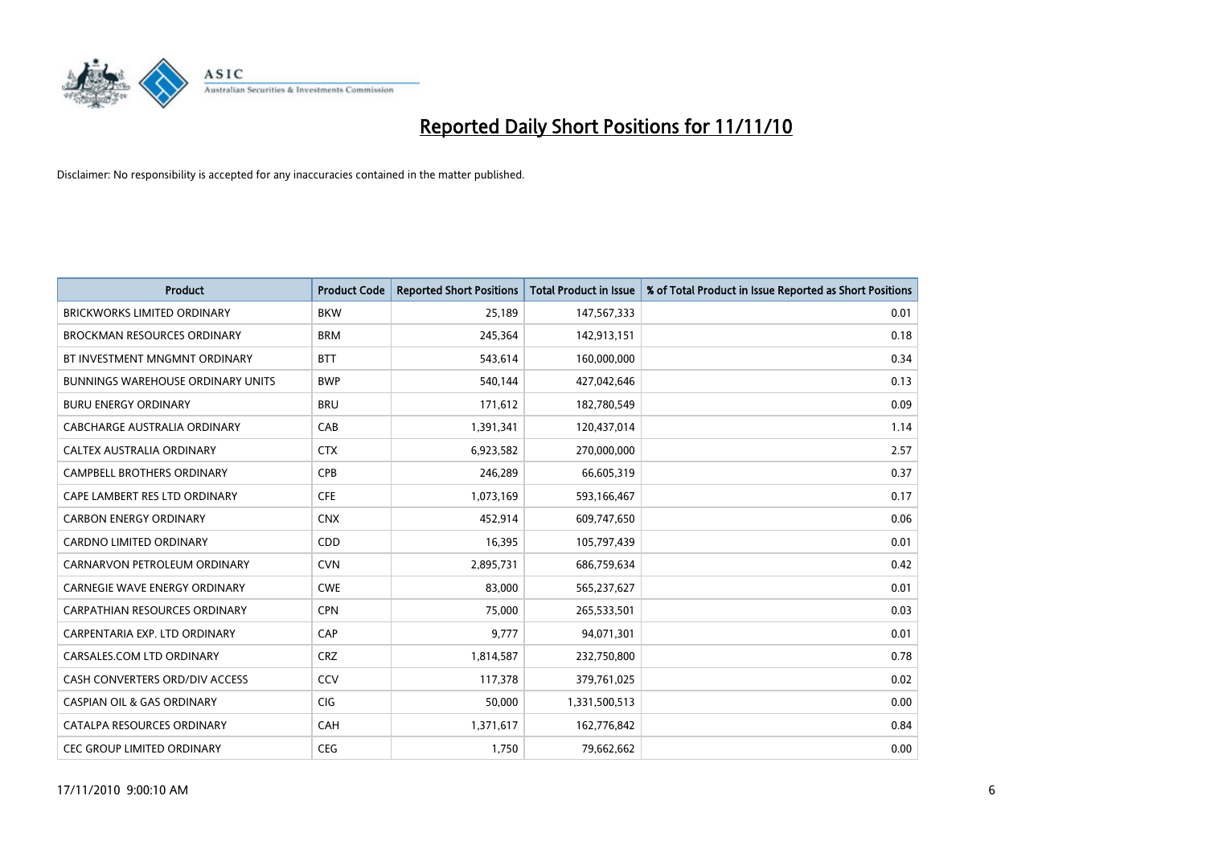

| <b>Product</b>                        | <b>Product Code</b> | <b>Reported Short Positions</b> | <b>Total Product in Issue</b> | % of Total Product in Issue Reported as Short Positions |
|---------------------------------------|---------------------|---------------------------------|-------------------------------|---------------------------------------------------------|
| <b>BRICKWORKS LIMITED ORDINARY</b>    | <b>BKW</b>          | 25,189                          | 147,567,333                   | 0.01                                                    |
| <b>BROCKMAN RESOURCES ORDINARY</b>    | <b>BRM</b>          | 245,364                         | 142,913,151                   | 0.18                                                    |
| BT INVESTMENT MNGMNT ORDINARY         | <b>BTT</b>          | 543,614                         | 160,000,000                   | 0.34                                                    |
| BUNNINGS WAREHOUSE ORDINARY UNITS     | <b>BWP</b>          | 540,144                         | 427,042,646                   | 0.13                                                    |
| <b>BURU ENERGY ORDINARY</b>           | <b>BRU</b>          | 171,612                         | 182,780,549                   | 0.09                                                    |
| CABCHARGE AUSTRALIA ORDINARY          | CAB                 | 1,391,341                       | 120,437,014                   | 1.14                                                    |
| CALTEX AUSTRALIA ORDINARY             | <b>CTX</b>          | 6,923,582                       | 270,000,000                   | 2.57                                                    |
| CAMPBELL BROTHERS ORDINARY            | CPB                 | 246,289                         | 66,605,319                    | 0.37                                                    |
| CAPE LAMBERT RES LTD ORDINARY         | <b>CFE</b>          | 1,073,169                       | 593,166,467                   | 0.17                                                    |
| <b>CARBON ENERGY ORDINARY</b>         | <b>CNX</b>          | 452,914                         | 609,747,650                   | 0.06                                                    |
| <b>CARDNO LIMITED ORDINARY</b>        | <b>CDD</b>          | 16,395                          | 105,797,439                   | 0.01                                                    |
| CARNARVON PETROLEUM ORDINARY          | <b>CVN</b>          | 2,895,731                       | 686,759,634                   | 0.42                                                    |
| CARNEGIE WAVE ENERGY ORDINARY         | <b>CWE</b>          | 83.000                          | 565,237,627                   | 0.01                                                    |
| <b>CARPATHIAN RESOURCES ORDINARY</b>  | <b>CPN</b>          | 75,000                          | 265,533,501                   | 0.03                                                    |
| CARPENTARIA EXP. LTD ORDINARY         | CAP                 | 9,777                           | 94,071,301                    | 0.01                                                    |
| CARSALES.COM LTD ORDINARY             | <b>CRZ</b>          | 1,814,587                       | 232,750,800                   | 0.78                                                    |
| CASH CONVERTERS ORD/DIV ACCESS        | CCV                 | 117,378                         | 379,761,025                   | 0.02                                                    |
| <b>CASPIAN OIL &amp; GAS ORDINARY</b> | <b>CIG</b>          | 50,000                          | 1,331,500,513                 | 0.00                                                    |
| CATALPA RESOURCES ORDINARY            | CAH                 | 1,371,617                       | 162,776,842                   | 0.84                                                    |
| <b>CEC GROUP LIMITED ORDINARY</b>     | <b>CEG</b>          | 1,750                           | 79,662,662                    | 0.00                                                    |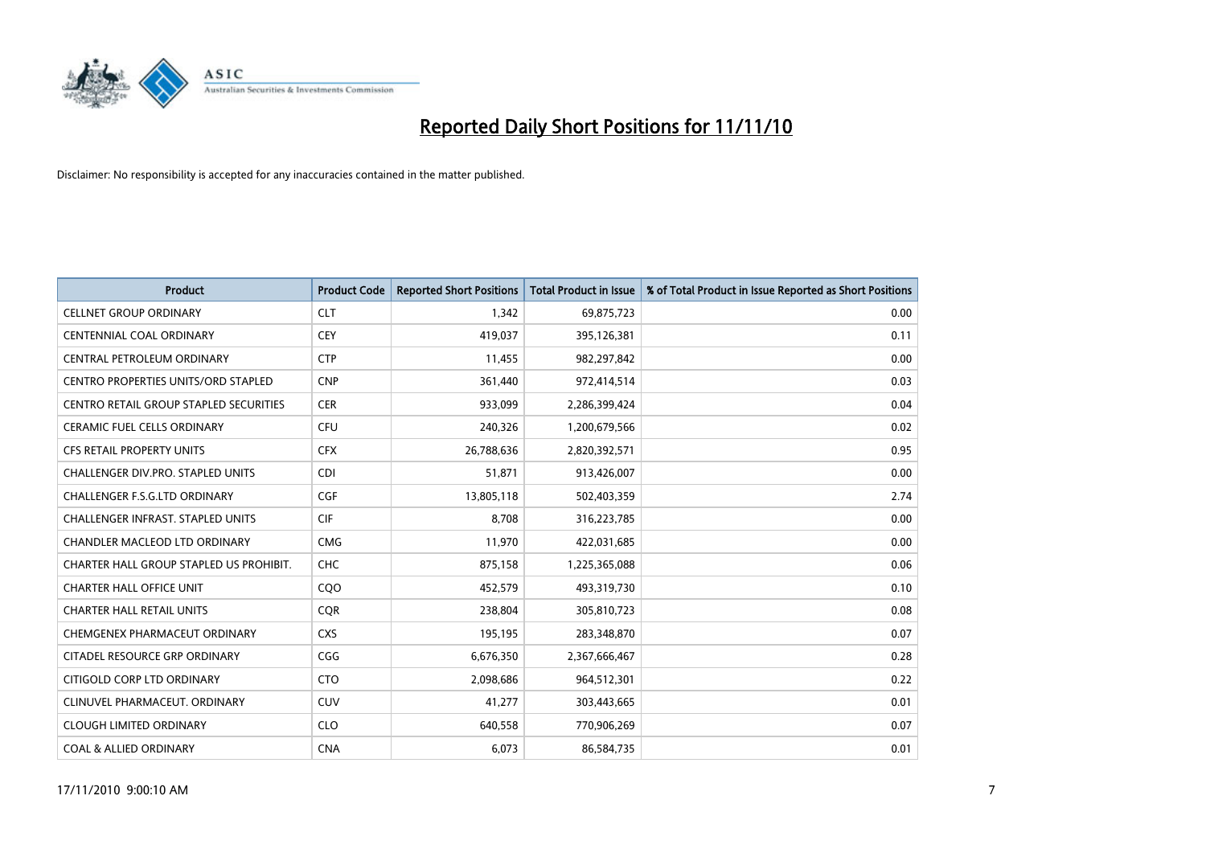

| <b>Product</b>                                | <b>Product Code</b> | <b>Reported Short Positions</b> | Total Product in Issue | % of Total Product in Issue Reported as Short Positions |
|-----------------------------------------------|---------------------|---------------------------------|------------------------|---------------------------------------------------------|
| <b>CELLNET GROUP ORDINARY</b>                 | <b>CLT</b>          | 1.342                           | 69,875,723             | 0.00                                                    |
| CENTENNIAL COAL ORDINARY                      | <b>CEY</b>          | 419,037                         | 395,126,381            | 0.11                                                    |
| CENTRAL PETROLEUM ORDINARY                    | <b>CTP</b>          | 11.455                          | 982,297,842            | 0.00                                                    |
| CENTRO PROPERTIES UNITS/ORD STAPLED           | <b>CNP</b>          | 361,440                         | 972,414,514            | 0.03                                                    |
| <b>CENTRO RETAIL GROUP STAPLED SECURITIES</b> | <b>CER</b>          | 933,099                         | 2,286,399,424          | 0.04                                                    |
| <b>CERAMIC FUEL CELLS ORDINARY</b>            | <b>CFU</b>          | 240,326                         | 1,200,679,566          | 0.02                                                    |
| <b>CFS RETAIL PROPERTY UNITS</b>              | <b>CFX</b>          | 26,788,636                      | 2,820,392,571          | 0.95                                                    |
| CHALLENGER DIV.PRO. STAPLED UNITS             | <b>CDI</b>          | 51,871                          | 913,426,007            | 0.00                                                    |
| <b>CHALLENGER F.S.G.LTD ORDINARY</b>          | <b>CGF</b>          | 13,805,118                      | 502,403,359            | 2.74                                                    |
| <b>CHALLENGER INFRAST, STAPLED UNITS</b>      | <b>CIF</b>          | 8,708                           | 316,223,785            | 0.00                                                    |
| CHANDLER MACLEOD LTD ORDINARY                 | <b>CMG</b>          | 11,970                          | 422,031,685            | 0.00                                                    |
| CHARTER HALL GROUP STAPLED US PROHIBIT.       | <b>CHC</b>          | 875,158                         | 1,225,365,088          | 0.06                                                    |
| <b>CHARTER HALL OFFICE UNIT</b>               | COO                 | 452,579                         | 493,319,730            | 0.10                                                    |
| <b>CHARTER HALL RETAIL UNITS</b>              | <b>COR</b>          | 238,804                         | 305,810,723            | 0.08                                                    |
| CHEMGENEX PHARMACEUT ORDINARY                 | <b>CXS</b>          | 195,195                         | 283,348,870            | 0.07                                                    |
| CITADEL RESOURCE GRP ORDINARY                 | CGG                 | 6,676,350                       | 2,367,666,467          | 0.28                                                    |
| CITIGOLD CORP LTD ORDINARY                    | <b>CTO</b>          | 2,098,686                       | 964,512,301            | 0.22                                                    |
| CLINUVEL PHARMACEUT. ORDINARY                 | <b>CUV</b>          | 41,277                          | 303,443,665            | 0.01                                                    |
| <b>CLOUGH LIMITED ORDINARY</b>                | <b>CLO</b>          | 640,558                         | 770,906,269            | 0.07                                                    |
| <b>COAL &amp; ALLIED ORDINARY</b>             | <b>CNA</b>          | 6,073                           | 86,584,735             | 0.01                                                    |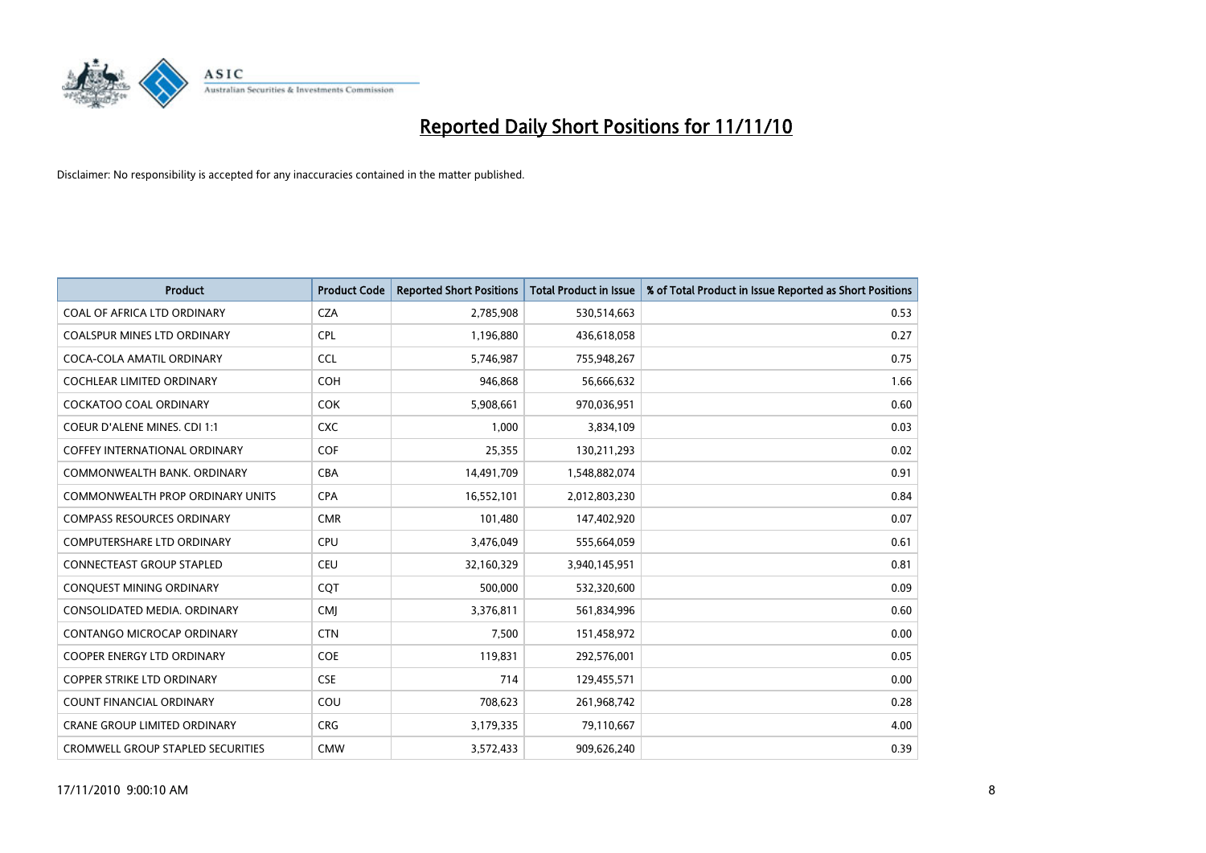

| <b>Product</b>                           | <b>Product Code</b> | <b>Reported Short Positions</b> | Total Product in Issue | % of Total Product in Issue Reported as Short Positions |
|------------------------------------------|---------------------|---------------------------------|------------------------|---------------------------------------------------------|
| COAL OF AFRICA LTD ORDINARY              | <b>CZA</b>          | 2,785,908                       | 530,514,663            | 0.53                                                    |
| <b>COALSPUR MINES LTD ORDINARY</b>       | <b>CPL</b>          | 1,196,880                       | 436,618,058            | 0.27                                                    |
| COCA-COLA AMATIL ORDINARY                | <b>CCL</b>          | 5,746,987                       | 755,948,267            | 0.75                                                    |
| COCHLEAR LIMITED ORDINARY                | <b>COH</b>          | 946,868                         | 56,666,632             | 1.66                                                    |
| <b>COCKATOO COAL ORDINARY</b>            | <b>COK</b>          | 5,908,661                       | 970,036,951            | 0.60                                                    |
| <b>COEUR D'ALENE MINES. CDI 1:1</b>      | <b>CXC</b>          | 1,000                           | 3,834,109              | 0.03                                                    |
| <b>COFFEY INTERNATIONAL ORDINARY</b>     | <b>COF</b>          | 25,355                          | 130,211,293            | 0.02                                                    |
| COMMONWEALTH BANK, ORDINARY              | <b>CBA</b>          | 14,491,709                      | 1,548,882,074          | 0.91                                                    |
| COMMONWEALTH PROP ORDINARY UNITS         | <b>CPA</b>          | 16,552,101                      | 2,012,803,230          | 0.84                                                    |
| <b>COMPASS RESOURCES ORDINARY</b>        | <b>CMR</b>          | 101,480                         | 147,402,920            | 0.07                                                    |
| <b>COMPUTERSHARE LTD ORDINARY</b>        | <b>CPU</b>          | 3,476,049                       | 555,664,059            | 0.61                                                    |
| <b>CONNECTEAST GROUP STAPLED</b>         | <b>CEU</b>          | 32,160,329                      | 3,940,145,951          | 0.81                                                    |
| CONQUEST MINING ORDINARY                 | COT                 | 500.000                         | 532,320,600            | 0.09                                                    |
| CONSOLIDATED MEDIA, ORDINARY             | <b>CMI</b>          | 3,376,811                       | 561,834,996            | 0.60                                                    |
| CONTANGO MICROCAP ORDINARY               | <b>CTN</b>          | 7,500                           | 151,458,972            | 0.00                                                    |
| <b>COOPER ENERGY LTD ORDINARY</b>        | <b>COE</b>          | 119,831                         | 292,576,001            | 0.05                                                    |
| <b>COPPER STRIKE LTD ORDINARY</b>        | <b>CSE</b>          | 714                             | 129,455,571            | 0.00                                                    |
| COUNT FINANCIAL ORDINARY                 | COU                 | 708,623                         | 261,968,742            | 0.28                                                    |
| <b>CRANE GROUP LIMITED ORDINARY</b>      | <b>CRG</b>          | 3,179,335                       | 79,110,667             | 4.00                                                    |
| <b>CROMWELL GROUP STAPLED SECURITIES</b> | <b>CMW</b>          | 3,572,433                       | 909,626,240            | 0.39                                                    |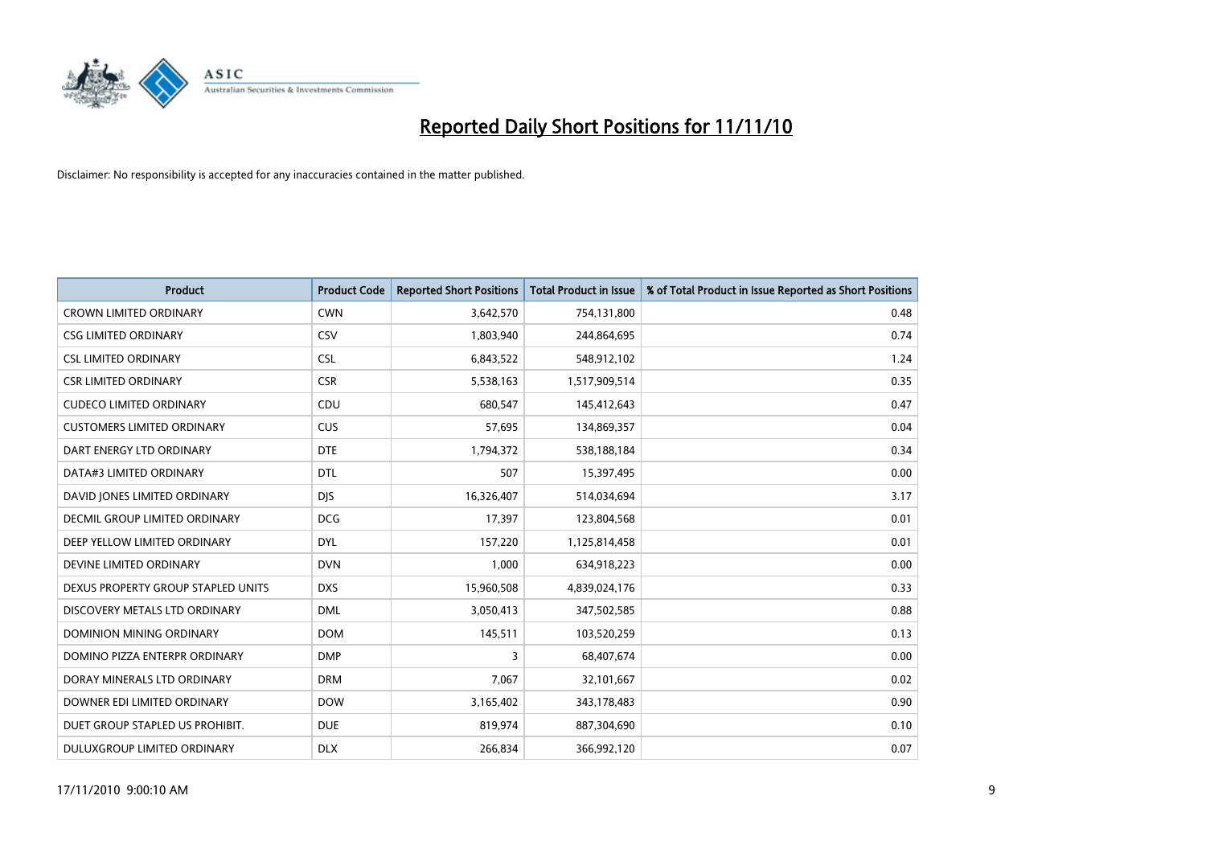

| <b>Product</b>                     | <b>Product Code</b> | <b>Reported Short Positions</b> | Total Product in Issue | % of Total Product in Issue Reported as Short Positions |
|------------------------------------|---------------------|---------------------------------|------------------------|---------------------------------------------------------|
| <b>CROWN LIMITED ORDINARY</b>      | <b>CWN</b>          | 3,642,570                       | 754,131,800            | 0.48                                                    |
| <b>CSG LIMITED ORDINARY</b>        | CSV                 | 1,803,940                       | 244,864,695            | 0.74                                                    |
| <b>CSL LIMITED ORDINARY</b>        | <b>CSL</b>          | 6,843,522                       | 548,912,102            | 1.24                                                    |
| <b>CSR LIMITED ORDINARY</b>        | <b>CSR</b>          | 5,538,163                       | 1,517,909,514          | 0.35                                                    |
| <b>CUDECO LIMITED ORDINARY</b>     | CDU                 | 680,547                         | 145,412,643            | 0.47                                                    |
| <b>CUSTOMERS LIMITED ORDINARY</b>  | <b>CUS</b>          | 57,695                          | 134,869,357            | 0.04                                                    |
| DART ENERGY LTD ORDINARY           | <b>DTE</b>          | 1,794,372                       | 538,188,184            | 0.34                                                    |
| DATA#3 LIMITED ORDINARY            | <b>DTL</b>          | 507                             | 15,397,495             | 0.00                                                    |
| DAVID JONES LIMITED ORDINARY       | <b>DIS</b>          | 16,326,407                      | 514,034,694            | 3.17                                                    |
| DECMIL GROUP LIMITED ORDINARY      | <b>DCG</b>          | 17,397                          | 123,804,568            | 0.01                                                    |
| DEEP YELLOW LIMITED ORDINARY       | <b>DYL</b>          | 157,220                         | 1,125,814,458          | 0.01                                                    |
| DEVINE LIMITED ORDINARY            | <b>DVN</b>          | 1,000                           | 634,918,223            | 0.00                                                    |
| DEXUS PROPERTY GROUP STAPLED UNITS | <b>DXS</b>          | 15,960,508                      | 4,839,024,176          | 0.33                                                    |
| DISCOVERY METALS LTD ORDINARY      | <b>DML</b>          | 3,050,413                       | 347,502,585            | 0.88                                                    |
| <b>DOMINION MINING ORDINARY</b>    | <b>DOM</b>          | 145,511                         | 103,520,259            | 0.13                                                    |
| DOMINO PIZZA ENTERPR ORDINARY      | <b>DMP</b>          | 3                               | 68,407,674             | 0.00                                                    |
| DORAY MINERALS LTD ORDINARY        | <b>DRM</b>          | 7,067                           | 32,101,667             | 0.02                                                    |
| DOWNER EDI LIMITED ORDINARY        | <b>DOW</b>          | 3,165,402                       | 343,178,483            | 0.90                                                    |
| DUET GROUP STAPLED US PROHIBIT.    | <b>DUE</b>          | 819,974                         | 887,304,690            | 0.10                                                    |
| DULUXGROUP LIMITED ORDINARY        | <b>DLX</b>          | 266.834                         | 366,992,120            | 0.07                                                    |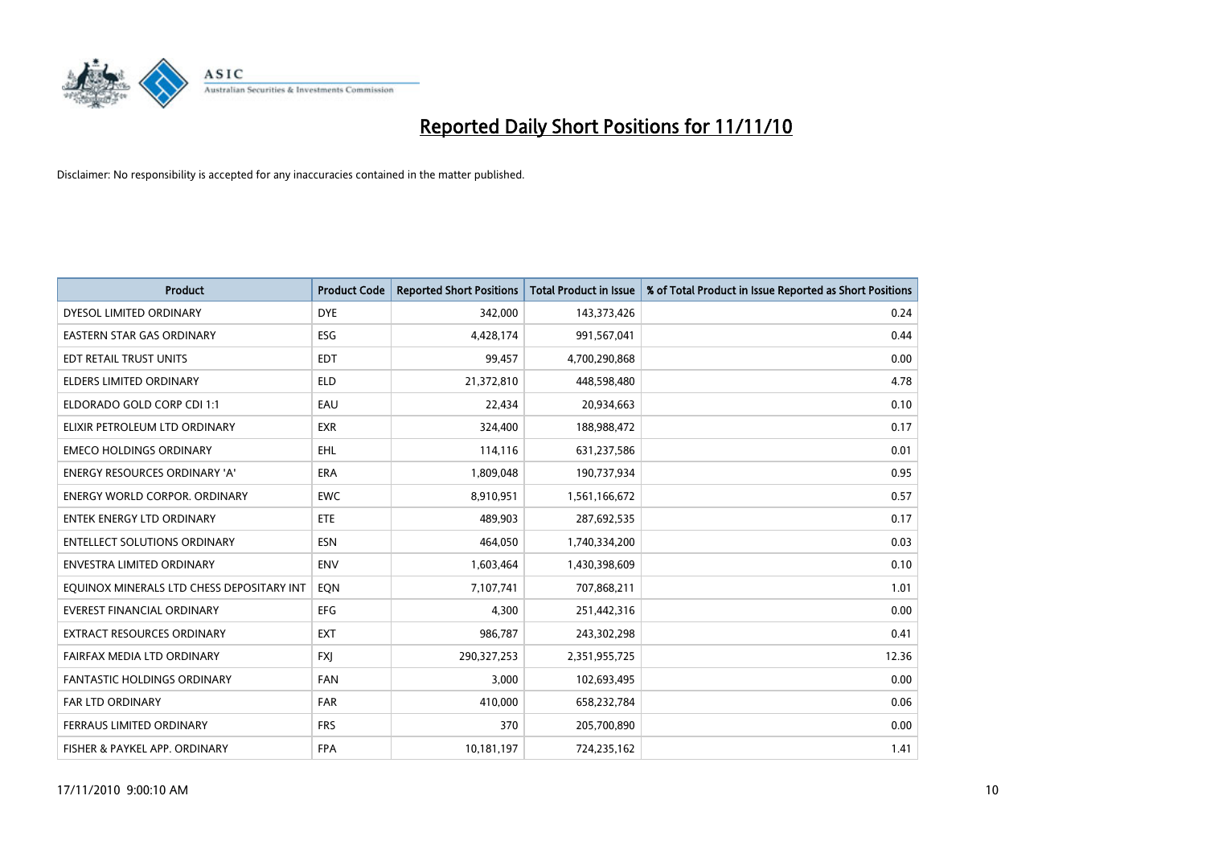

| <b>Product</b>                            | <b>Product Code</b> | <b>Reported Short Positions</b> | <b>Total Product in Issue</b> | % of Total Product in Issue Reported as Short Positions |
|-------------------------------------------|---------------------|---------------------------------|-------------------------------|---------------------------------------------------------|
| DYESOL LIMITED ORDINARY                   | <b>DYE</b>          | 342,000                         | 143,373,426                   | 0.24                                                    |
| EASTERN STAR GAS ORDINARY                 | ESG                 | 4,428,174                       | 991,567,041                   | 0.44                                                    |
| EDT RETAIL TRUST UNITS                    | <b>EDT</b>          | 99.457                          | 4,700,290,868                 | 0.00                                                    |
| ELDERS LIMITED ORDINARY                   | <b>ELD</b>          | 21,372,810                      | 448,598,480                   | 4.78                                                    |
| ELDORADO GOLD CORP CDI 1:1                | EAU                 | 22,434                          | 20,934,663                    | 0.10                                                    |
| ELIXIR PETROLEUM LTD ORDINARY             | <b>EXR</b>          | 324,400                         | 188,988,472                   | 0.17                                                    |
| <b>EMECO HOLDINGS ORDINARY</b>            | <b>EHL</b>          | 114,116                         | 631,237,586                   | 0.01                                                    |
| ENERGY RESOURCES ORDINARY 'A'             | <b>ERA</b>          | 1,809,048                       | 190,737,934                   | 0.95                                                    |
| <b>ENERGY WORLD CORPOR, ORDINARY</b>      | <b>EWC</b>          | 8,910,951                       | 1,561,166,672                 | 0.57                                                    |
| <b>ENTEK ENERGY LTD ORDINARY</b>          | ETE                 | 489,903                         | 287,692,535                   | 0.17                                                    |
| <b>ENTELLECT SOLUTIONS ORDINARY</b>       | <b>ESN</b>          | 464,050                         | 1,740,334,200                 | 0.03                                                    |
| <b>ENVESTRA LIMITED ORDINARY</b>          | <b>ENV</b>          | 1,603,464                       | 1,430,398,609                 | 0.10                                                    |
| EQUINOX MINERALS LTD CHESS DEPOSITARY INT | EON                 | 7,107,741                       | 707,868,211                   | 1.01                                                    |
| <b>EVEREST FINANCIAL ORDINARY</b>         | EFG                 | 4,300                           | 251,442,316                   | 0.00                                                    |
| <b>EXTRACT RESOURCES ORDINARY</b>         | <b>EXT</b>          | 986,787                         | 243,302,298                   | 0.41                                                    |
| FAIRFAX MEDIA LTD ORDINARY                | <b>FXI</b>          | 290, 327, 253                   | 2,351,955,725                 | 12.36                                                   |
| FANTASTIC HOLDINGS ORDINARY               | FAN                 | 3,000                           | 102,693,495                   | 0.00                                                    |
| <b>FAR LTD ORDINARY</b>                   | <b>FAR</b>          | 410,000                         | 658,232,784                   | 0.06                                                    |
| FERRAUS LIMITED ORDINARY                  | <b>FRS</b>          | 370                             | 205,700,890                   | 0.00                                                    |
| FISHER & PAYKEL APP. ORDINARY             | <b>FPA</b>          | 10,181,197                      | 724,235,162                   | 1.41                                                    |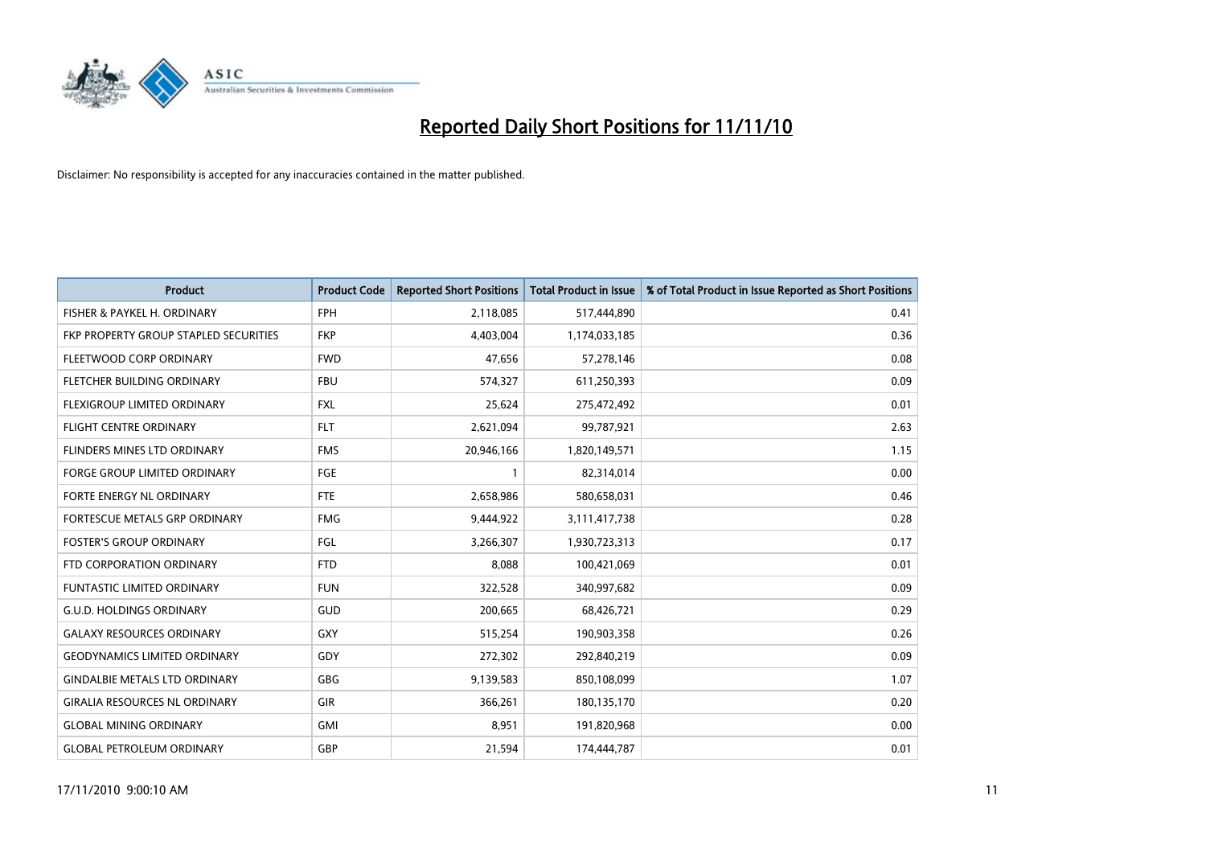

| <b>Product</b>                        | <b>Product Code</b> | <b>Reported Short Positions</b> | <b>Total Product in Issue</b> | % of Total Product in Issue Reported as Short Positions |
|---------------------------------------|---------------------|---------------------------------|-------------------------------|---------------------------------------------------------|
| FISHER & PAYKEL H. ORDINARY           | <b>FPH</b>          | 2,118,085                       | 517,444,890                   | 0.41                                                    |
| FKP PROPERTY GROUP STAPLED SECURITIES | <b>FKP</b>          | 4,403,004                       | 1,174,033,185                 | 0.36                                                    |
| FLEETWOOD CORP ORDINARY               | <b>FWD</b>          | 47,656                          | 57,278,146                    | 0.08                                                    |
| FLETCHER BUILDING ORDINARY            | <b>FBU</b>          | 574,327                         | 611,250,393                   | 0.09                                                    |
| FLEXIGROUP LIMITED ORDINARY           | <b>FXL</b>          | 25.624                          | 275,472,492                   | 0.01                                                    |
| <b>FLIGHT CENTRE ORDINARY</b>         | <b>FLT</b>          | 2,621,094                       | 99,787,921                    | 2.63                                                    |
| FLINDERS MINES LTD ORDINARY           | <b>FMS</b>          | 20,946,166                      | 1,820,149,571                 | 1.15                                                    |
| <b>FORGE GROUP LIMITED ORDINARY</b>   | FGE                 |                                 | 82,314,014                    | 0.00                                                    |
| FORTE ENERGY NL ORDINARY              | <b>FTE</b>          | 2,658,986                       | 580,658,031                   | 0.46                                                    |
| FORTESCUE METALS GRP ORDINARY         | <b>FMG</b>          | 9,444,922                       | 3,111,417,738                 | 0.28                                                    |
| <b>FOSTER'S GROUP ORDINARY</b>        | FGL                 | 3,266,307                       | 1,930,723,313                 | 0.17                                                    |
| FTD CORPORATION ORDINARY              | <b>FTD</b>          | 8,088                           | 100,421,069                   | 0.01                                                    |
| <b>FUNTASTIC LIMITED ORDINARY</b>     | <b>FUN</b>          | 322,528                         | 340,997,682                   | 0.09                                                    |
| <b>G.U.D. HOLDINGS ORDINARY</b>       | GUD                 | 200,665                         | 68,426,721                    | 0.29                                                    |
| <b>GALAXY RESOURCES ORDINARY</b>      | GXY                 | 515,254                         | 190,903,358                   | 0.26                                                    |
| <b>GEODYNAMICS LIMITED ORDINARY</b>   | GDY                 | 272,302                         | 292,840,219                   | 0.09                                                    |
| <b>GINDALBIE METALS LTD ORDINARY</b>  | <b>GBG</b>          | 9,139,583                       | 850,108,099                   | 1.07                                                    |
| <b>GIRALIA RESOURCES NL ORDINARY</b>  | <b>GIR</b>          | 366,261                         | 180,135,170                   | 0.20                                                    |
| <b>GLOBAL MINING ORDINARY</b>         | <b>GMI</b>          | 8,951                           | 191,820,968                   | 0.00                                                    |
| <b>GLOBAL PETROLEUM ORDINARY</b>      | GBP                 | 21,594                          | 174.444.787                   | 0.01                                                    |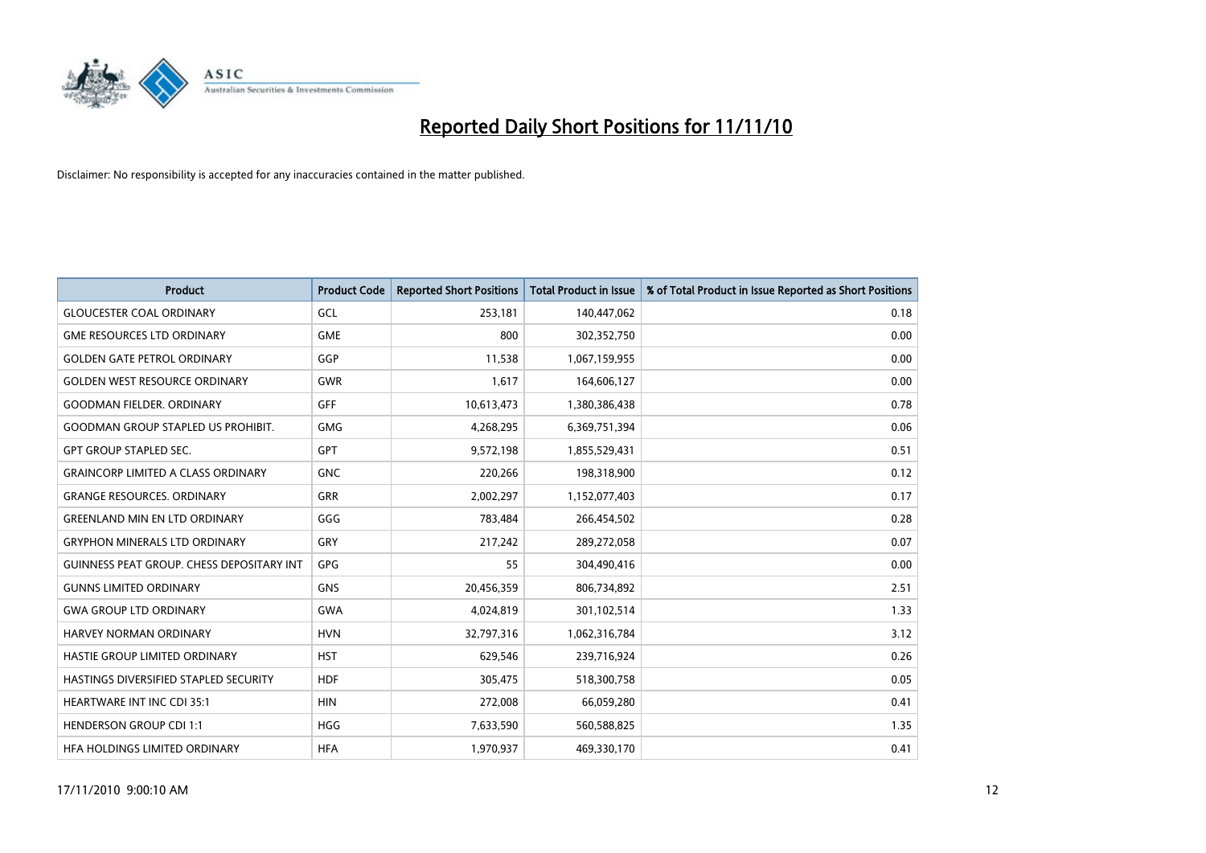

| <b>Product</b>                                   | <b>Product Code</b> | <b>Reported Short Positions</b> | <b>Total Product in Issue</b> | % of Total Product in Issue Reported as Short Positions |
|--------------------------------------------------|---------------------|---------------------------------|-------------------------------|---------------------------------------------------------|
| <b>GLOUCESTER COAL ORDINARY</b>                  | GCL                 | 253,181                         | 140,447,062                   | 0.18                                                    |
| <b>GME RESOURCES LTD ORDINARY</b>                | <b>GME</b>          | 800                             | 302,352,750                   | 0.00                                                    |
| <b>GOLDEN GATE PETROL ORDINARY</b>               | GGP                 | 11,538                          | 1,067,159,955                 | 0.00                                                    |
| <b>GOLDEN WEST RESOURCE ORDINARY</b>             | <b>GWR</b>          | 1,617                           | 164,606,127                   | 0.00                                                    |
| <b>GOODMAN FIELDER, ORDINARY</b>                 | <b>GFF</b>          | 10,613,473                      | 1,380,386,438                 | 0.78                                                    |
| <b>GOODMAN GROUP STAPLED US PROHIBIT.</b>        | <b>GMG</b>          | 4,268,295                       | 6,369,751,394                 | 0.06                                                    |
| <b>GPT GROUP STAPLED SEC.</b>                    | <b>GPT</b>          | 9,572,198                       | 1,855,529,431                 | 0.51                                                    |
| <b>GRAINCORP LIMITED A CLASS ORDINARY</b>        | <b>GNC</b>          | 220,266                         | 198,318,900                   | 0.12                                                    |
| <b>GRANGE RESOURCES, ORDINARY</b>                | <b>GRR</b>          | 2,002,297                       | 1,152,077,403                 | 0.17                                                    |
| <b>GREENLAND MIN EN LTD ORDINARY</b>             | GGG                 | 783,484                         | 266,454,502                   | 0.28                                                    |
| <b>GRYPHON MINERALS LTD ORDINARY</b>             | GRY                 | 217,242                         | 289,272,058                   | 0.07                                                    |
| <b>GUINNESS PEAT GROUP. CHESS DEPOSITARY INT</b> | GPG                 | 55                              | 304,490,416                   | 0.00                                                    |
| <b>GUNNS LIMITED ORDINARY</b>                    | <b>GNS</b>          | 20,456,359                      | 806,734,892                   | 2.51                                                    |
| <b>GWA GROUP LTD ORDINARY</b>                    | <b>GWA</b>          | 4,024,819                       | 301,102,514                   | 1.33                                                    |
| <b>HARVEY NORMAN ORDINARY</b>                    | <b>HVN</b>          | 32,797,316                      | 1,062,316,784                 | 3.12                                                    |
| HASTIE GROUP LIMITED ORDINARY                    | <b>HST</b>          | 629,546                         | 239,716,924                   | 0.26                                                    |
| HASTINGS DIVERSIFIED STAPLED SECURITY            | <b>HDF</b>          | 305,475                         | 518,300,758                   | 0.05                                                    |
| <b>HEARTWARE INT INC CDI 35:1</b>                | <b>HIN</b>          | 272,008                         | 66,059,280                    | 0.41                                                    |
| <b>HENDERSON GROUP CDI 1:1</b>                   | <b>HGG</b>          | 7,633,590                       | 560,588,825                   | 1.35                                                    |
| HFA HOLDINGS LIMITED ORDINARY                    | <b>HFA</b>          | 1,970,937                       | 469,330,170                   | 0.41                                                    |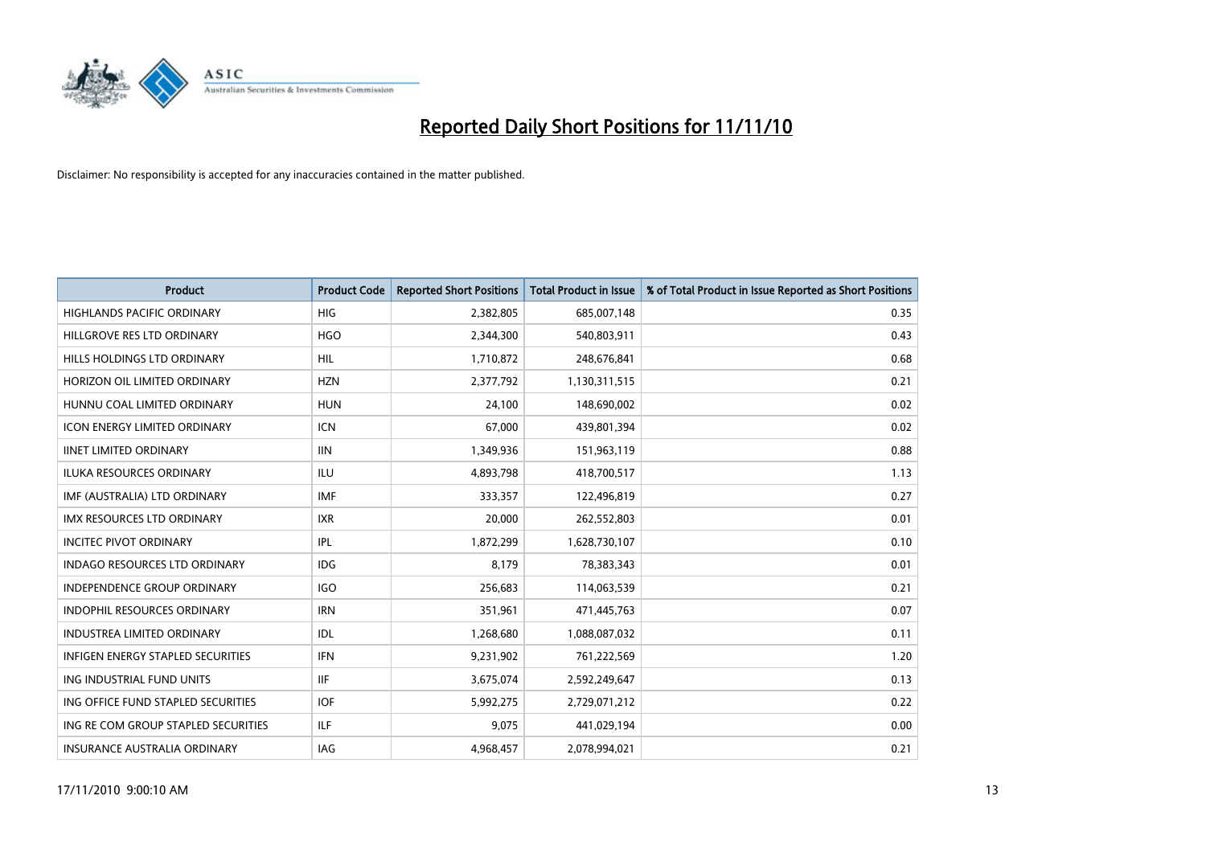

| <b>Product</b>                           | <b>Product Code</b> | <b>Reported Short Positions</b> | <b>Total Product in Issue</b> | % of Total Product in Issue Reported as Short Positions |
|------------------------------------------|---------------------|---------------------------------|-------------------------------|---------------------------------------------------------|
| <b>HIGHLANDS PACIFIC ORDINARY</b>        | HIG                 | 2,382,805                       | 685,007,148                   | 0.35                                                    |
| HILLGROVE RES LTD ORDINARY               | <b>HGO</b>          | 2,344,300                       | 540,803,911                   | 0.43                                                    |
| HILLS HOLDINGS LTD ORDINARY              | <b>HIL</b>          | 1,710,872                       | 248,676,841                   | 0.68                                                    |
| HORIZON OIL LIMITED ORDINARY             | <b>HZN</b>          | 2,377,792                       | 1,130,311,515                 | 0.21                                                    |
| HUNNU COAL LIMITED ORDINARY              | <b>HUN</b>          | 24.100                          | 148,690,002                   | 0.02                                                    |
| <b>ICON ENERGY LIMITED ORDINARY</b>      | <b>ICN</b>          | 67,000                          | 439,801,394                   | 0.02                                                    |
| <b>IINET LIMITED ORDINARY</b>            | <b>IIN</b>          | 1,349,936                       | 151,963,119                   | 0.88                                                    |
| <b>ILUKA RESOURCES ORDINARY</b>          | <b>ILU</b>          | 4,893,798                       | 418,700,517                   | 1.13                                                    |
| IMF (AUSTRALIA) LTD ORDINARY             | <b>IMF</b>          | 333,357                         | 122,496,819                   | 0.27                                                    |
| <b>IMX RESOURCES LTD ORDINARY</b>        | <b>IXR</b>          | 20,000                          | 262,552,803                   | 0.01                                                    |
| <b>INCITEC PIVOT ORDINARY</b>            | IPL                 | 1,872,299                       | 1,628,730,107                 | 0.10                                                    |
| <b>INDAGO RESOURCES LTD ORDINARY</b>     | <b>IDG</b>          | 8,179                           | 78,383,343                    | 0.01                                                    |
| <b>INDEPENDENCE GROUP ORDINARY</b>       | <b>IGO</b>          | 256,683                         | 114,063,539                   | 0.21                                                    |
| <b>INDOPHIL RESOURCES ORDINARY</b>       | <b>IRN</b>          | 351,961                         | 471,445,763                   | 0.07                                                    |
| <b>INDUSTREA LIMITED ORDINARY</b>        | IDL                 | 1,268,680                       | 1,088,087,032                 | 0.11                                                    |
| <b>INFIGEN ENERGY STAPLED SECURITIES</b> | <b>IFN</b>          | 9,231,902                       | 761,222,569                   | 1.20                                                    |
| ING INDUSTRIAL FUND UNITS                | <b>IIF</b>          | 3,675,074                       | 2,592,249,647                 | 0.13                                                    |
| ING OFFICE FUND STAPLED SECURITIES       | <b>IOF</b>          | 5,992,275                       | 2,729,071,212                 | 0.22                                                    |
| ING RE COM GROUP STAPLED SECURITIES      | <b>ILF</b>          | 9.075                           | 441,029,194                   | 0.00                                                    |
| <b>INSURANCE AUSTRALIA ORDINARY</b>      | <b>IAG</b>          | 4,968,457                       | 2.078.994.021                 | 0.21                                                    |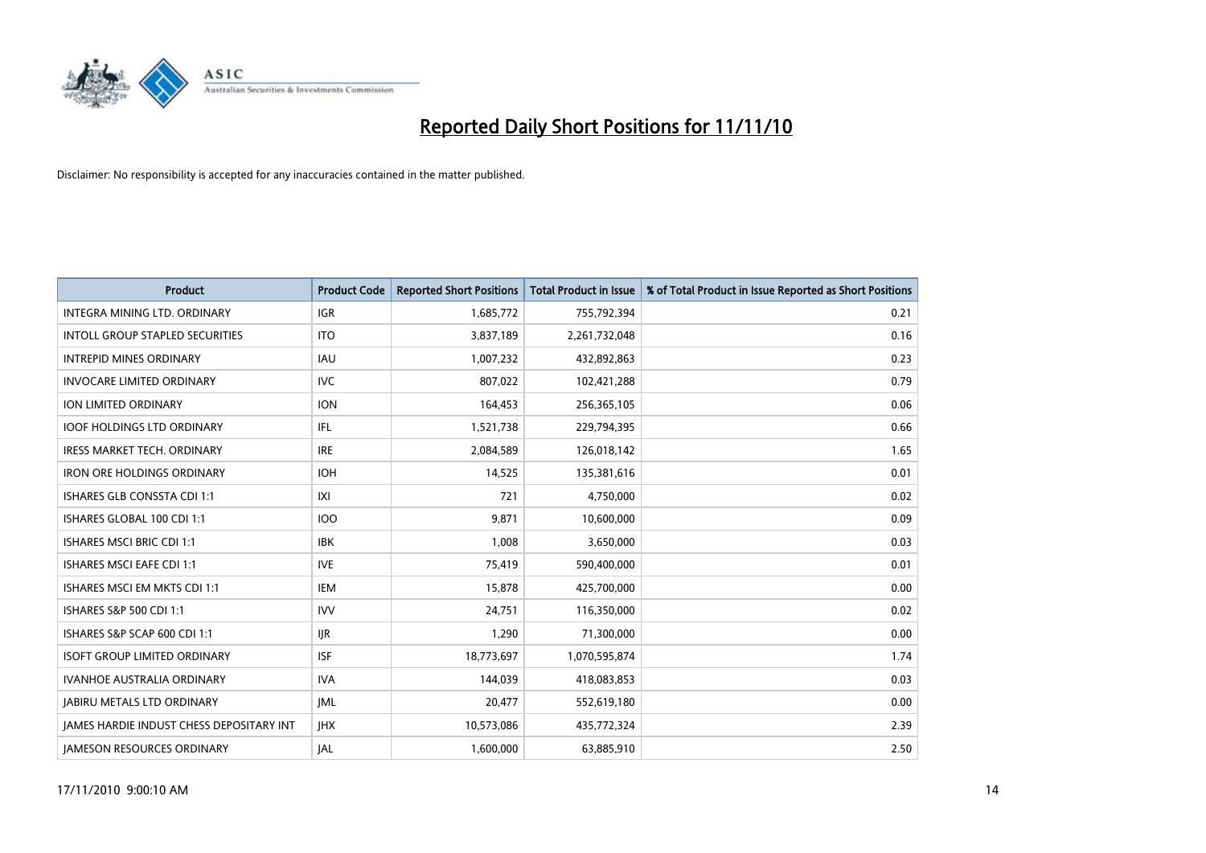

| <b>Product</b>                                  | <b>Product Code</b> | <b>Reported Short Positions</b> | <b>Total Product in Issue</b> | % of Total Product in Issue Reported as Short Positions |
|-------------------------------------------------|---------------------|---------------------------------|-------------------------------|---------------------------------------------------------|
| <b>INTEGRA MINING LTD, ORDINARY</b>             | <b>IGR</b>          | 1,685,772                       | 755,792,394                   | 0.21                                                    |
| INTOLL GROUP STAPLED SECURITIES                 | <b>ITO</b>          | 3,837,189                       | 2,261,732,048                 | 0.16                                                    |
| <b>INTREPID MINES ORDINARY</b>                  | <b>IAU</b>          | 1,007,232                       | 432,892,863                   | 0.23                                                    |
| <b>INVOCARE LIMITED ORDINARY</b>                | <b>IVC</b>          | 807,022                         | 102,421,288                   | 0.79                                                    |
| <b>ION LIMITED ORDINARY</b>                     | <b>ION</b>          | 164,453                         | 256,365,105                   | 0.06                                                    |
| <b>IOOF HOLDINGS LTD ORDINARY</b>               | IFL.                | 1,521,738                       | 229,794,395                   | 0.66                                                    |
| <b>IRESS MARKET TECH. ORDINARY</b>              | <b>IRE</b>          | 2,084,589                       | 126,018,142                   | 1.65                                                    |
| <b>IRON ORE HOLDINGS ORDINARY</b>               | <b>IOH</b>          | 14,525                          | 135,381,616                   | 0.01                                                    |
| ISHARES GLB CONSSTA CDI 1:1                     | X                   | 721                             | 4,750,000                     | 0.02                                                    |
| ISHARES GLOBAL 100 CDI 1:1                      | 100                 | 9,871                           | 10,600,000                    | 0.09                                                    |
| <b>ISHARES MSCI BRIC CDI 1:1</b>                | <b>IBK</b>          | 1,008                           | 3,650,000                     | 0.03                                                    |
| <b>ISHARES MSCI EAFE CDI 1:1</b>                | <b>IVE</b>          | 75,419                          | 590,400,000                   | 0.01                                                    |
| ISHARES MSCI EM MKTS CDI 1:1                    | <b>IEM</b>          | 15,878                          | 425,700,000                   | 0.00                                                    |
| ISHARES S&P 500 CDI 1:1                         | <b>IVV</b>          | 24,751                          | 116,350,000                   | 0.02                                                    |
| ISHARES S&P SCAP 600 CDI 1:1                    | <b>IJR</b>          | 1,290                           | 71,300,000                    | 0.00                                                    |
| <b>ISOFT GROUP LIMITED ORDINARY</b>             | <b>ISF</b>          | 18,773,697                      | 1,070,595,874                 | 1.74                                                    |
| <b>IVANHOE AUSTRALIA ORDINARY</b>               | <b>IVA</b>          | 144.039                         | 418,083,853                   | 0.03                                                    |
| <b>JABIRU METALS LTD ORDINARY</b>               | <b>JML</b>          | 20,477                          | 552,619,180                   | 0.00                                                    |
| <b>IAMES HARDIE INDUST CHESS DEPOSITARY INT</b> | <b>IHX</b>          | 10,573,086                      | 435,772,324                   | 2.39                                                    |
| <b>IAMESON RESOURCES ORDINARY</b>               | <b>JAL</b>          | 1,600,000                       | 63,885,910                    | 2.50                                                    |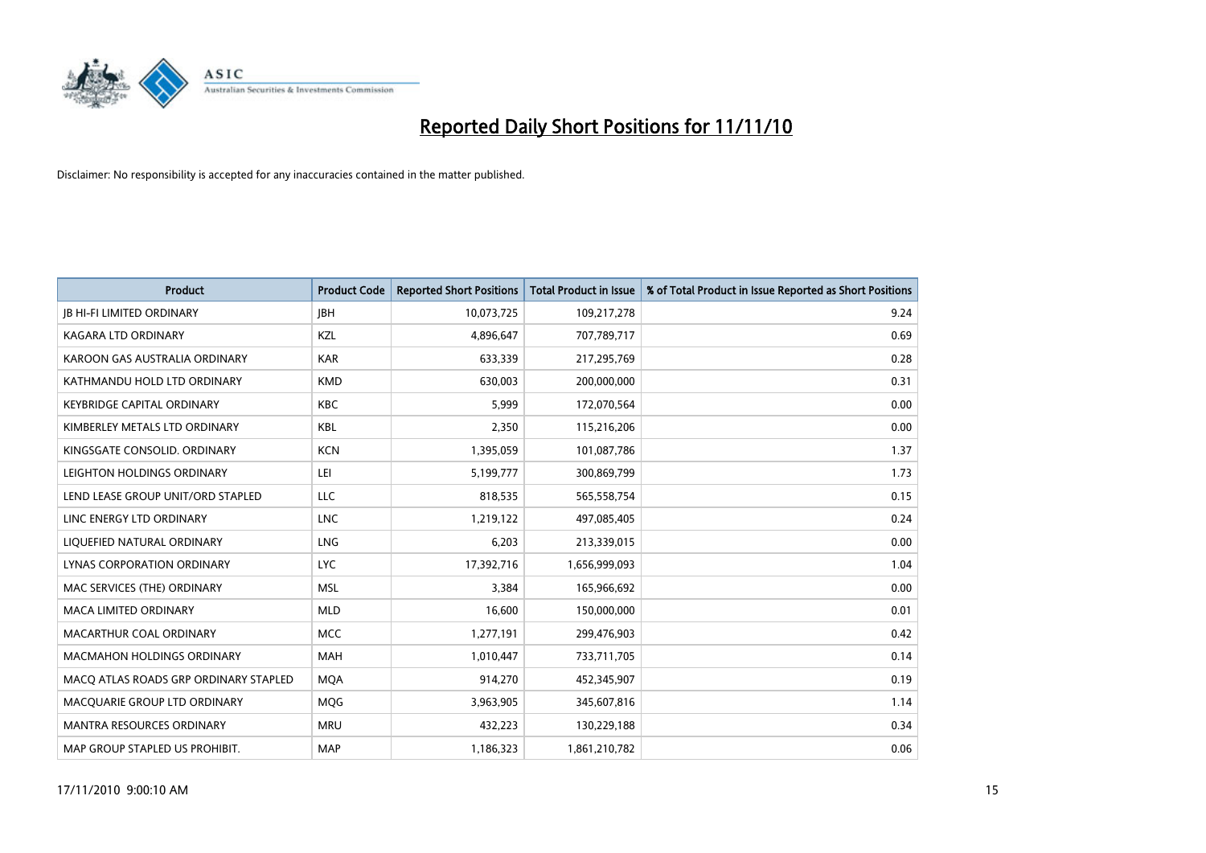

| <b>Product</b>                        | <b>Product Code</b> | <b>Reported Short Positions</b> | Total Product in Issue | % of Total Product in Issue Reported as Short Positions |
|---------------------------------------|---------------------|---------------------------------|------------------------|---------------------------------------------------------|
| <b>JB HI-FI LIMITED ORDINARY</b>      | <b>IBH</b>          | 10,073,725                      | 109,217,278            | 9.24                                                    |
| <b>KAGARA LTD ORDINARY</b>            | KZL                 | 4,896,647                       | 707,789,717            | 0.69                                                    |
| KAROON GAS AUSTRALIA ORDINARY         | <b>KAR</b>          | 633,339                         | 217,295,769            | 0.28                                                    |
| KATHMANDU HOLD LTD ORDINARY           | <b>KMD</b>          | 630,003                         | 200,000,000            | 0.31                                                    |
| <b>KEYBRIDGE CAPITAL ORDINARY</b>     | <b>KBC</b>          | 5,999                           | 172,070,564            | 0.00                                                    |
| KIMBERLEY METALS LTD ORDINARY         | <b>KBL</b>          | 2,350                           | 115,216,206            | 0.00                                                    |
| KINGSGATE CONSOLID, ORDINARY          | <b>KCN</b>          | 1,395,059                       | 101,087,786            | 1.37                                                    |
| LEIGHTON HOLDINGS ORDINARY            | LEI                 | 5,199,777                       | 300,869,799            | 1.73                                                    |
| LEND LEASE GROUP UNIT/ORD STAPLED     | LLC                 | 818,535                         | 565,558,754            | 0.15                                                    |
| LINC ENERGY LTD ORDINARY              | <b>LNC</b>          | 1,219,122                       | 497,085,405            | 0.24                                                    |
| LIQUEFIED NATURAL ORDINARY            | <b>LNG</b>          | 6,203                           | 213,339,015            | 0.00                                                    |
| LYNAS CORPORATION ORDINARY            | <b>LYC</b>          | 17,392,716                      | 1,656,999,093          | 1.04                                                    |
| MAC SERVICES (THE) ORDINARY           | <b>MSL</b>          | 3.384                           | 165,966,692            | 0.00                                                    |
| <b>MACA LIMITED ORDINARY</b>          | <b>MLD</b>          | 16.600                          | 150,000,000            | 0.01                                                    |
| MACARTHUR COAL ORDINARY               | <b>MCC</b>          | 1,277,191                       | 299,476,903            | 0.42                                                    |
| <b>MACMAHON HOLDINGS ORDINARY</b>     | <b>MAH</b>          | 1,010,447                       | 733,711,705            | 0.14                                                    |
| MACQ ATLAS ROADS GRP ORDINARY STAPLED | <b>MQA</b>          | 914,270                         | 452,345,907            | 0.19                                                    |
| MACQUARIE GROUP LTD ORDINARY          | <b>MOG</b>          | 3,963,905                       | 345,607,816            | 1.14                                                    |
| <b>MANTRA RESOURCES ORDINARY</b>      | <b>MRU</b>          | 432,223                         | 130,229,188            | 0.34                                                    |
| MAP GROUP STAPLED US PROHIBIT.        | <b>MAP</b>          | 1,186,323                       | 1,861,210,782          | 0.06                                                    |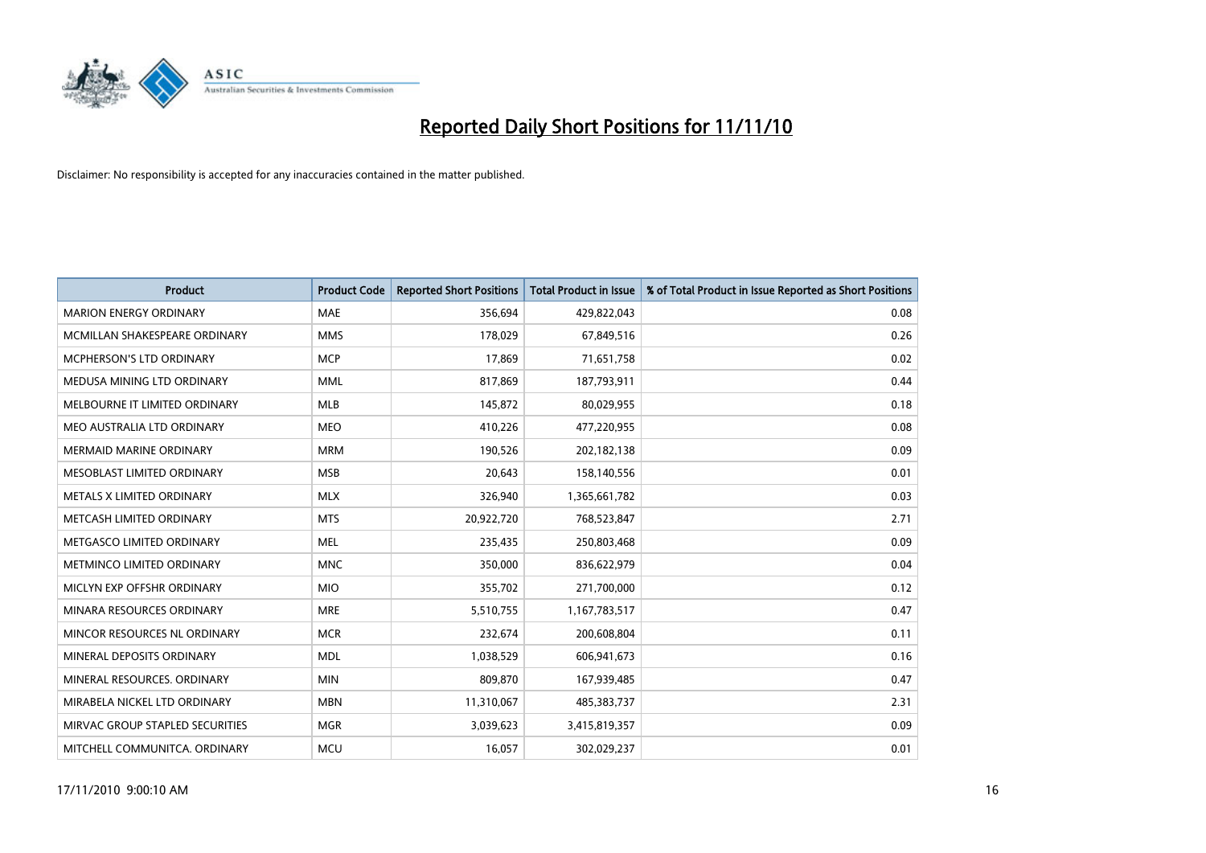

| <b>Product</b>                  | <b>Product Code</b> | <b>Reported Short Positions</b> | <b>Total Product in Issue</b> | % of Total Product in Issue Reported as Short Positions |
|---------------------------------|---------------------|---------------------------------|-------------------------------|---------------------------------------------------------|
| <b>MARION ENERGY ORDINARY</b>   | <b>MAE</b>          | 356,694                         | 429,822,043                   | 0.08                                                    |
| MCMILLAN SHAKESPEARE ORDINARY   | <b>MMS</b>          | 178,029                         | 67,849,516                    | 0.26                                                    |
| <b>MCPHERSON'S LTD ORDINARY</b> | <b>MCP</b>          | 17.869                          | 71,651,758                    | 0.02                                                    |
| MEDUSA MINING LTD ORDINARY      | <b>MML</b>          | 817,869                         | 187,793,911                   | 0.44                                                    |
| MELBOURNE IT LIMITED ORDINARY   | <b>MLB</b>          | 145,872                         | 80,029,955                    | 0.18                                                    |
| MEO AUSTRALIA LTD ORDINARY      | <b>MEO</b>          | 410,226                         | 477,220,955                   | 0.08                                                    |
| <b>MERMAID MARINE ORDINARY</b>  | <b>MRM</b>          | 190,526                         | 202,182,138                   | 0.09                                                    |
| MESOBLAST LIMITED ORDINARY      | <b>MSB</b>          | 20,643                          | 158,140,556                   | 0.01                                                    |
| METALS X LIMITED ORDINARY       | <b>MLX</b>          | 326,940                         | 1,365,661,782                 | 0.03                                                    |
| METCASH LIMITED ORDINARY        | <b>MTS</b>          | 20,922,720                      | 768,523,847                   | 2.71                                                    |
| METGASCO LIMITED ORDINARY       | <b>MEL</b>          | 235,435                         | 250,803,468                   | 0.09                                                    |
| METMINCO LIMITED ORDINARY       | <b>MNC</b>          | 350,000                         | 836,622,979                   | 0.04                                                    |
| MICLYN EXP OFFSHR ORDINARY      | <b>MIO</b>          | 355,702                         | 271,700,000                   | 0.12                                                    |
| MINARA RESOURCES ORDINARY       | <b>MRE</b>          | 5,510,755                       | 1,167,783,517                 | 0.47                                                    |
| MINCOR RESOURCES NL ORDINARY    | <b>MCR</b>          | 232,674                         | 200,608,804                   | 0.11                                                    |
| MINERAL DEPOSITS ORDINARY       | <b>MDL</b>          | 1,038,529                       | 606,941,673                   | 0.16                                                    |
| MINERAL RESOURCES. ORDINARY     | <b>MIN</b>          | 809,870                         | 167,939,485                   | 0.47                                                    |
| MIRABELA NICKEL LTD ORDINARY    | <b>MBN</b>          | 11,310,067                      | 485,383,737                   | 2.31                                                    |
| MIRVAC GROUP STAPLED SECURITIES | <b>MGR</b>          | 3,039,623                       | 3,415,819,357                 | 0.09                                                    |
| MITCHELL COMMUNITCA. ORDINARY   | <b>MCU</b>          | 16,057                          | 302,029,237                   | 0.01                                                    |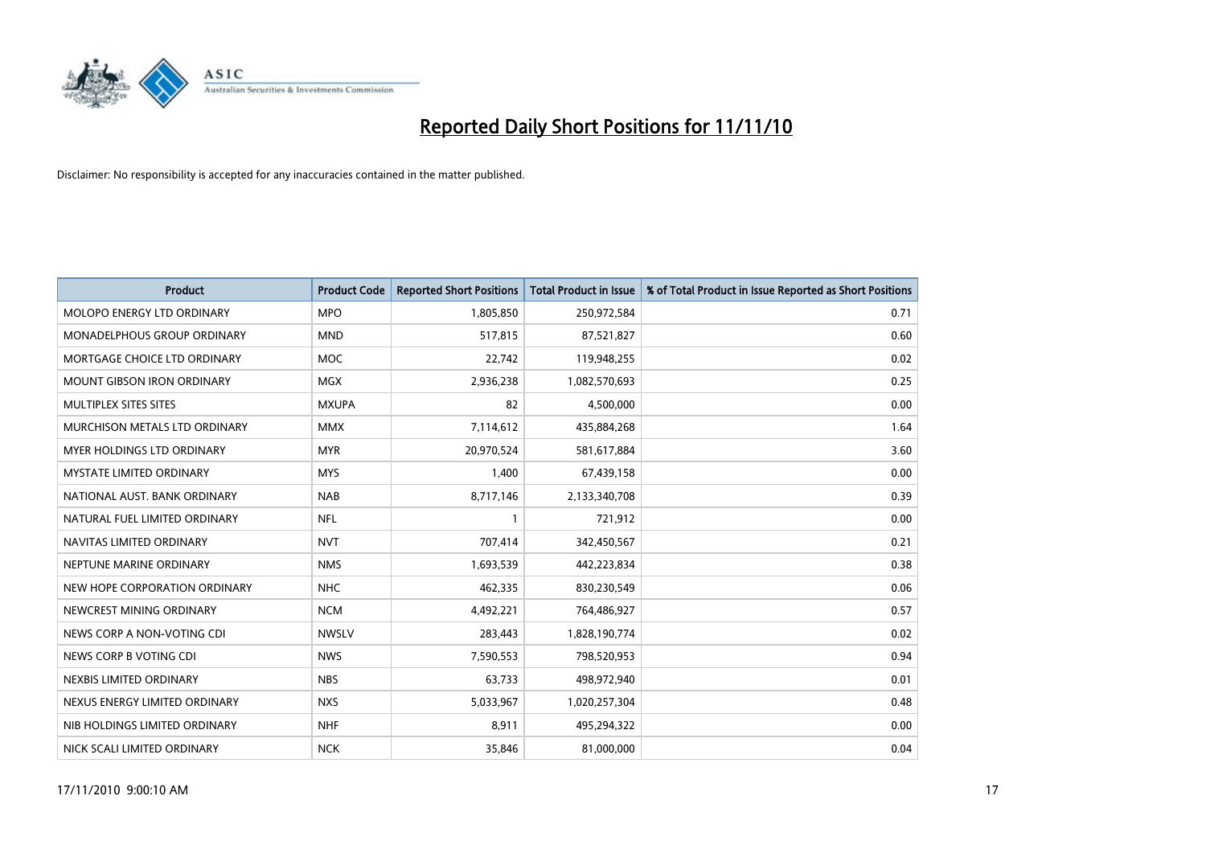

| <b>Product</b>                    | <b>Product Code</b> | <b>Reported Short Positions</b> | <b>Total Product in Issue</b> | % of Total Product in Issue Reported as Short Positions |
|-----------------------------------|---------------------|---------------------------------|-------------------------------|---------------------------------------------------------|
| <b>MOLOPO ENERGY LTD ORDINARY</b> | <b>MPO</b>          | 1,805,850                       | 250,972,584                   | 0.71                                                    |
| MONADELPHOUS GROUP ORDINARY       | <b>MND</b>          | 517,815                         | 87,521,827                    | 0.60                                                    |
| MORTGAGE CHOICE LTD ORDINARY      | <b>MOC</b>          | 22,742                          | 119,948,255                   | 0.02                                                    |
| MOUNT GIBSON IRON ORDINARY        | <b>MGX</b>          | 2,936,238                       | 1,082,570,693                 | 0.25                                                    |
| MULTIPLEX SITES SITES             | <b>MXUPA</b>        | 82                              | 4,500,000                     | 0.00                                                    |
| MURCHISON METALS LTD ORDINARY     | <b>MMX</b>          | 7,114,612                       | 435,884,268                   | 1.64                                                    |
| MYER HOLDINGS LTD ORDINARY        | <b>MYR</b>          | 20,970,524                      | 581,617,884                   | 3.60                                                    |
| MYSTATE LIMITED ORDINARY          | <b>MYS</b>          | 1,400                           | 67,439,158                    | 0.00                                                    |
| NATIONAL AUST, BANK ORDINARY      | <b>NAB</b>          | 8,717,146                       | 2,133,340,708                 | 0.39                                                    |
| NATURAL FUEL LIMITED ORDINARY     | <b>NFL</b>          |                                 | 721,912                       | 0.00                                                    |
| NAVITAS LIMITED ORDINARY          | <b>NVT</b>          | 707,414                         | 342,450,567                   | 0.21                                                    |
| NEPTUNE MARINE ORDINARY           | <b>NMS</b>          | 1,693,539                       | 442,223,834                   | 0.38                                                    |
| NEW HOPE CORPORATION ORDINARY     | <b>NHC</b>          | 462,335                         | 830,230,549                   | 0.06                                                    |
| NEWCREST MINING ORDINARY          | <b>NCM</b>          | 4,492,221                       | 764,486,927                   | 0.57                                                    |
| NEWS CORP A NON-VOTING CDI        | <b>NWSLV</b>        | 283,443                         | 1,828,190,774                 | 0.02                                                    |
| NEWS CORP B VOTING CDI            | <b>NWS</b>          | 7,590,553                       | 798,520,953                   | 0.94                                                    |
| NEXBIS LIMITED ORDINARY           | <b>NBS</b>          | 63,733                          | 498,972,940                   | 0.01                                                    |
| NEXUS ENERGY LIMITED ORDINARY     | <b>NXS</b>          | 5,033,967                       | 1,020,257,304                 | 0.48                                                    |
| NIB HOLDINGS LIMITED ORDINARY     | <b>NHF</b>          | 8,911                           | 495,294,322                   | 0.00                                                    |
| NICK SCALI LIMITED ORDINARY       | <b>NCK</b>          | 35,846                          | 81,000,000                    | 0.04                                                    |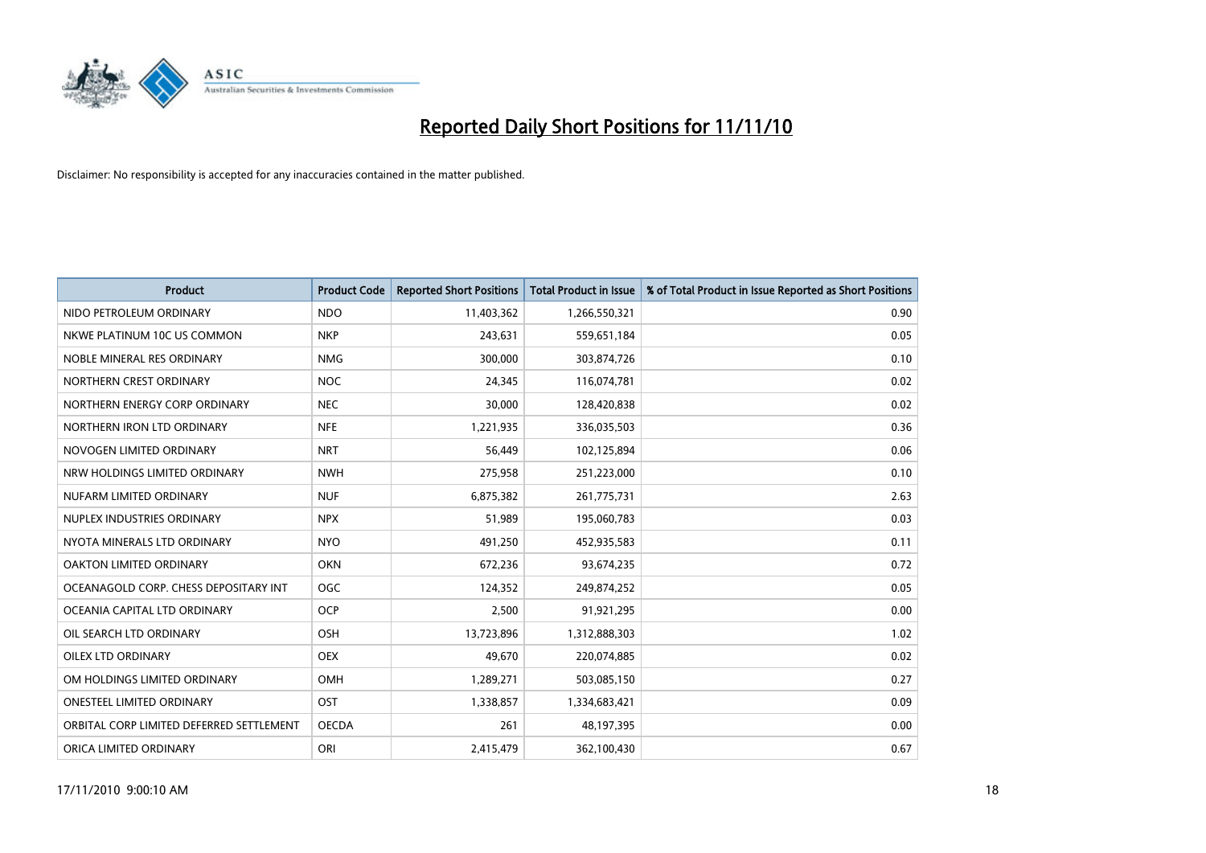

| <b>Product</b>                           | <b>Product Code</b> | <b>Reported Short Positions</b> | <b>Total Product in Issue</b> | % of Total Product in Issue Reported as Short Positions |
|------------------------------------------|---------------------|---------------------------------|-------------------------------|---------------------------------------------------------|
| NIDO PETROLEUM ORDINARY                  | <b>NDO</b>          | 11,403,362                      | 1,266,550,321                 | 0.90                                                    |
| NKWE PLATINUM 10C US COMMON              | <b>NKP</b>          | 243,631                         | 559,651,184                   | 0.05                                                    |
| NOBLE MINERAL RES ORDINARY               | <b>NMG</b>          | 300,000                         | 303,874,726                   | 0.10                                                    |
| NORTHERN CREST ORDINARY                  | <b>NOC</b>          | 24,345                          | 116,074,781                   | 0.02                                                    |
| NORTHERN ENERGY CORP ORDINARY            | <b>NEC</b>          | 30.000                          | 128,420,838                   | 0.02                                                    |
| NORTHERN IRON LTD ORDINARY               | <b>NFE</b>          | 1,221,935                       | 336,035,503                   | 0.36                                                    |
| NOVOGEN LIMITED ORDINARY                 | <b>NRT</b>          | 56,449                          | 102,125,894                   | 0.06                                                    |
| NRW HOLDINGS LIMITED ORDINARY            | <b>NWH</b>          | 275,958                         | 251,223,000                   | 0.10                                                    |
| NUFARM LIMITED ORDINARY                  | <b>NUF</b>          | 6,875,382                       | 261,775,731                   | 2.63                                                    |
| NUPLEX INDUSTRIES ORDINARY               | <b>NPX</b>          | 51,989                          | 195,060,783                   | 0.03                                                    |
| NYOTA MINERALS LTD ORDINARY              | <b>NYO</b>          | 491,250                         | 452,935,583                   | 0.11                                                    |
| <b>OAKTON LIMITED ORDINARY</b>           | <b>OKN</b>          | 672,236                         | 93,674,235                    | 0.72                                                    |
| OCEANAGOLD CORP. CHESS DEPOSITARY INT    | <b>OGC</b>          | 124,352                         | 249,874,252                   | 0.05                                                    |
| OCEANIA CAPITAL LTD ORDINARY             | <b>OCP</b>          | 2,500                           | 91,921,295                    | 0.00                                                    |
| OIL SEARCH LTD ORDINARY                  | OSH                 | 13,723,896                      | 1,312,888,303                 | 1.02                                                    |
| OILEX LTD ORDINARY                       | <b>OEX</b>          | 49,670                          | 220,074,885                   | 0.02                                                    |
| OM HOLDINGS LIMITED ORDINARY             | <b>OMH</b>          | 1,289,271                       | 503,085,150                   | 0.27                                                    |
| ONESTEEL LIMITED ORDINARY                | OST                 | 1,338,857                       | 1,334,683,421                 | 0.09                                                    |
| ORBITAL CORP LIMITED DEFERRED SETTLEMENT | <b>OECDA</b>        | 261                             | 48,197,395                    | 0.00                                                    |
| ORICA LIMITED ORDINARY                   | ORI                 | 2,415,479                       | 362,100,430                   | 0.67                                                    |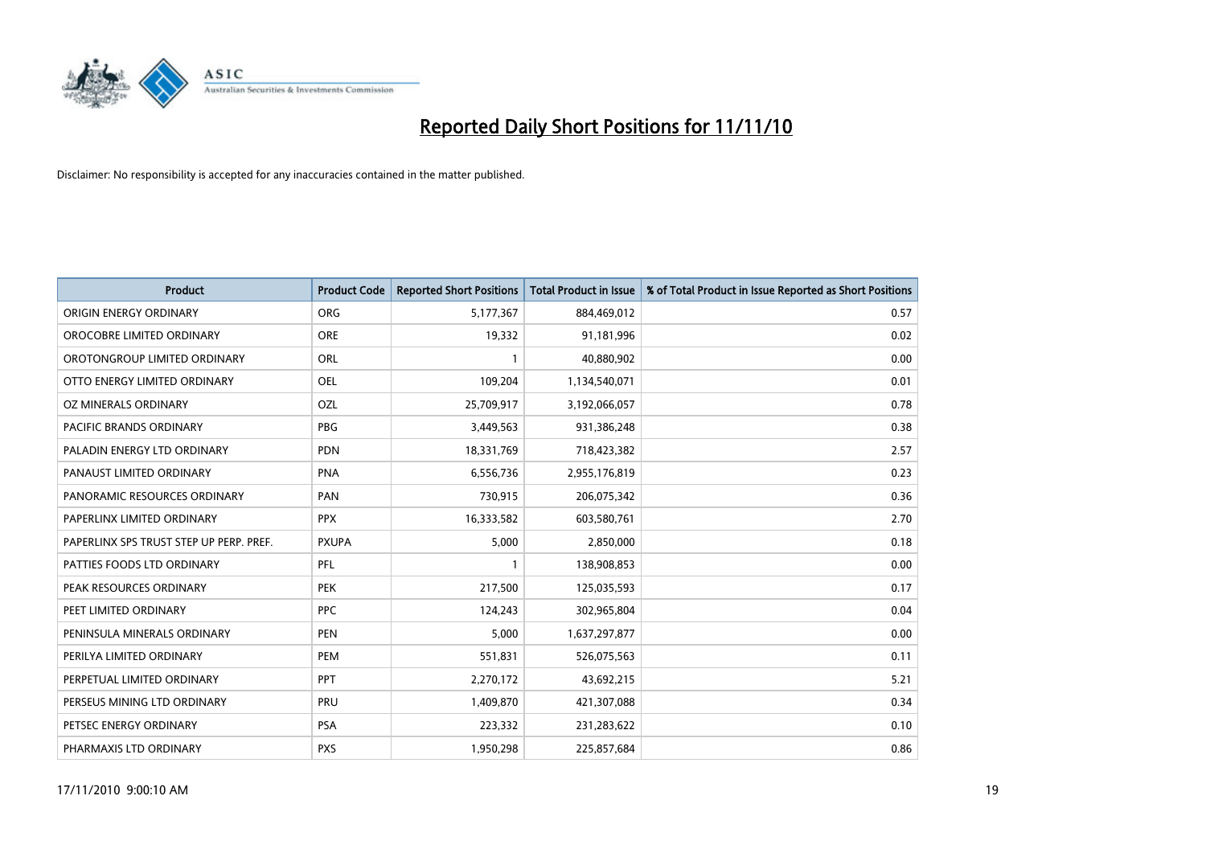

| <b>Product</b>                          | <b>Product Code</b> | <b>Reported Short Positions</b> | <b>Total Product in Issue</b> | % of Total Product in Issue Reported as Short Positions |
|-----------------------------------------|---------------------|---------------------------------|-------------------------------|---------------------------------------------------------|
| ORIGIN ENERGY ORDINARY                  | <b>ORG</b>          | 5,177,367                       | 884,469,012                   | 0.57                                                    |
| OROCOBRE LIMITED ORDINARY               | <b>ORE</b>          | 19,332                          | 91,181,996                    | 0.02                                                    |
| OROTONGROUP LIMITED ORDINARY            | ORL                 |                                 | 40,880,902                    | 0.00                                                    |
| OTTO ENERGY LIMITED ORDINARY            | OEL                 | 109,204                         | 1,134,540,071                 | 0.01                                                    |
| OZ MINERALS ORDINARY                    | OZL                 | 25,709,917                      | 3,192,066,057                 | 0.78                                                    |
| <b>PACIFIC BRANDS ORDINARY</b>          | <b>PBG</b>          | 3,449,563                       | 931,386,248                   | 0.38                                                    |
| PALADIN ENERGY LTD ORDINARY             | <b>PDN</b>          | 18,331,769                      | 718,423,382                   | 2.57                                                    |
| PANAUST LIMITED ORDINARY                | <b>PNA</b>          | 6,556,736                       | 2,955,176,819                 | 0.23                                                    |
| PANORAMIC RESOURCES ORDINARY            | PAN                 | 730,915                         | 206,075,342                   | 0.36                                                    |
| PAPERLINX LIMITED ORDINARY              | <b>PPX</b>          | 16,333,582                      | 603,580,761                   | 2.70                                                    |
| PAPERLINX SPS TRUST STEP UP PERP. PREF. | <b>PXUPA</b>        | 5,000                           | 2,850,000                     | 0.18                                                    |
| PATTIES FOODS LTD ORDINARY              | PFL                 |                                 | 138,908,853                   | 0.00                                                    |
| PEAK RESOURCES ORDINARY                 | <b>PEK</b>          | 217,500                         | 125,035,593                   | 0.17                                                    |
| PEET LIMITED ORDINARY                   | <b>PPC</b>          | 124,243                         | 302,965,804                   | 0.04                                                    |
| PENINSULA MINERALS ORDINARY             | <b>PEN</b>          | 5,000                           | 1,637,297,877                 | 0.00                                                    |
| PERILYA LIMITED ORDINARY                | PEM                 | 551,831                         | 526,075,563                   | 0.11                                                    |
| PERPETUAL LIMITED ORDINARY              | PPT                 | 2,270,172                       | 43,692,215                    | 5.21                                                    |
| PERSEUS MINING LTD ORDINARY             | PRU                 | 1,409,870                       | 421,307,088                   | 0.34                                                    |
| PETSEC ENERGY ORDINARY                  | <b>PSA</b>          | 223,332                         | 231,283,622                   | 0.10                                                    |
| PHARMAXIS LTD ORDINARY                  | <b>PXS</b>          | 1,950,298                       | 225,857,684                   | 0.86                                                    |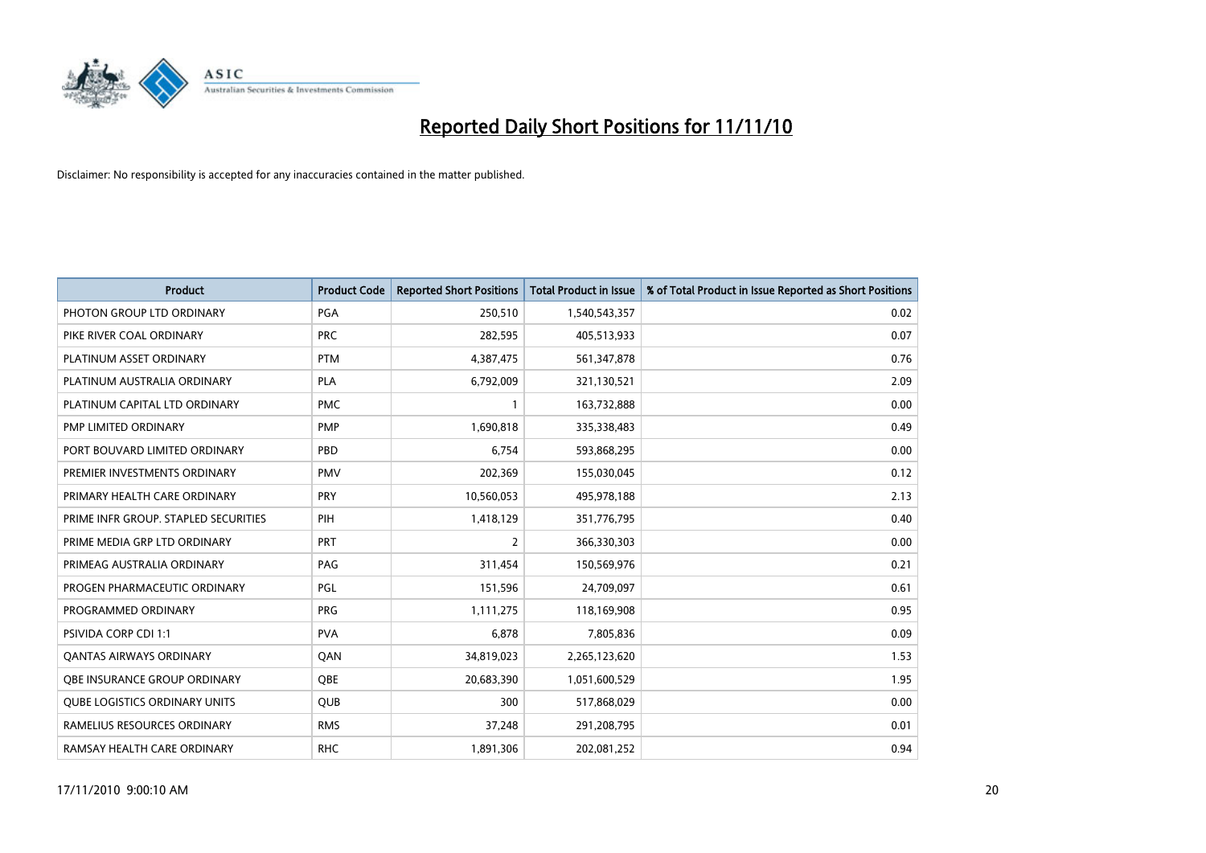

| <b>Product</b>                       | <b>Product Code</b> | <b>Reported Short Positions</b> | <b>Total Product in Issue</b> | % of Total Product in Issue Reported as Short Positions |
|--------------------------------------|---------------------|---------------------------------|-------------------------------|---------------------------------------------------------|
| PHOTON GROUP LTD ORDINARY            | <b>PGA</b>          | 250.510                         | 1,540,543,357                 | 0.02                                                    |
| PIKE RIVER COAL ORDINARY             | <b>PRC</b>          | 282,595                         | 405,513,933                   | 0.07                                                    |
| PLATINUM ASSET ORDINARY              | <b>PTM</b>          | 4,387,475                       | 561,347,878                   | 0.76                                                    |
| PLATINUM AUSTRALIA ORDINARY          | <b>PLA</b>          | 6,792,009                       | 321,130,521                   | 2.09                                                    |
| PLATINUM CAPITAL LTD ORDINARY        | <b>PMC</b>          |                                 | 163,732,888                   | 0.00                                                    |
| PMP LIMITED ORDINARY                 | <b>PMP</b>          | 1,690,818                       | 335,338,483                   | 0.49                                                    |
| PORT BOUVARD LIMITED ORDINARY        | PBD                 | 6,754                           | 593,868,295                   | 0.00                                                    |
| PREMIER INVESTMENTS ORDINARY         | <b>PMV</b>          | 202,369                         | 155,030,045                   | 0.12                                                    |
| PRIMARY HEALTH CARE ORDINARY         | <b>PRY</b>          | 10,560,053                      | 495,978,188                   | 2.13                                                    |
| PRIME INFR GROUP. STAPLED SECURITIES | PIH                 | 1,418,129                       | 351,776,795                   | 0.40                                                    |
| PRIME MEDIA GRP LTD ORDINARY         | <b>PRT</b>          | 2                               | 366,330,303                   | 0.00                                                    |
| PRIMEAG AUSTRALIA ORDINARY           | PAG                 | 311,454                         | 150,569,976                   | 0.21                                                    |
| PROGEN PHARMACEUTIC ORDINARY         | <b>PGL</b>          | 151,596                         | 24,709,097                    | 0.61                                                    |
| PROGRAMMED ORDINARY                  | PRG                 | 1,111,275                       | 118,169,908                   | 0.95                                                    |
| <b>PSIVIDA CORP CDI 1:1</b>          | <b>PVA</b>          | 6.878                           | 7,805,836                     | 0.09                                                    |
| <b>QANTAS AIRWAYS ORDINARY</b>       | QAN                 | 34,819,023                      | 2,265,123,620                 | 1.53                                                    |
| OBE INSURANCE GROUP ORDINARY         | <b>OBE</b>          | 20,683,390                      | 1,051,600,529                 | 1.95                                                    |
| <b>QUBE LOGISTICS ORDINARY UNITS</b> | <b>QUB</b>          | 300                             | 517,868,029                   | 0.00                                                    |
| RAMELIUS RESOURCES ORDINARY          | <b>RMS</b>          | 37,248                          | 291,208,795                   | 0.01                                                    |
| RAMSAY HEALTH CARE ORDINARY          | <b>RHC</b>          | 1,891,306                       | 202,081,252                   | 0.94                                                    |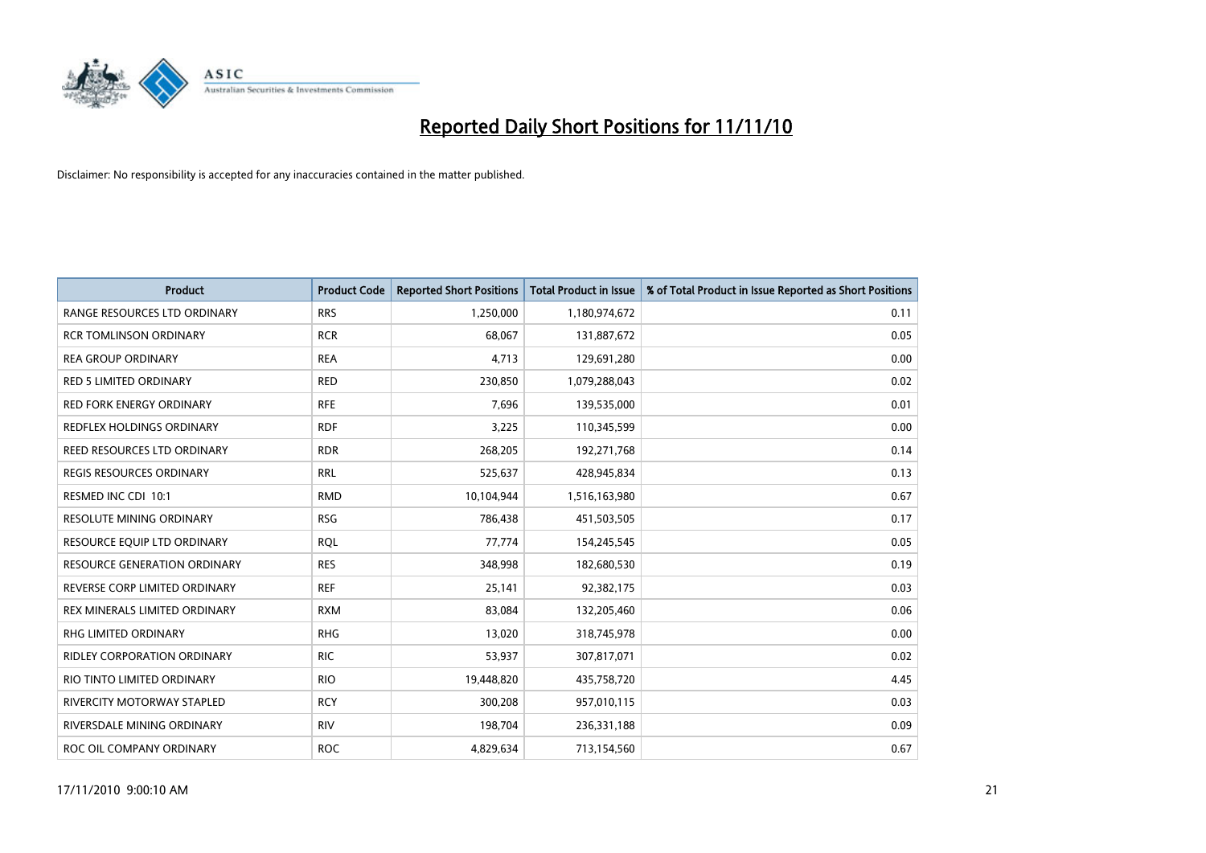

| <b>Product</b>                      | <b>Product Code</b> | <b>Reported Short Positions</b> | <b>Total Product in Issue</b> | % of Total Product in Issue Reported as Short Positions |
|-------------------------------------|---------------------|---------------------------------|-------------------------------|---------------------------------------------------------|
| RANGE RESOURCES LTD ORDINARY        | <b>RRS</b>          | 1,250,000                       | 1,180,974,672                 | 0.11                                                    |
| <b>RCR TOMLINSON ORDINARY</b>       | <b>RCR</b>          | 68,067                          | 131,887,672                   | 0.05                                                    |
| <b>REA GROUP ORDINARY</b>           | <b>REA</b>          | 4,713                           | 129,691,280                   | 0.00                                                    |
| RED 5 LIMITED ORDINARY              | <b>RED</b>          | 230,850                         | 1,079,288,043                 | 0.02                                                    |
| <b>RED FORK ENERGY ORDINARY</b>     | <b>RFE</b>          | 7,696                           | 139,535,000                   | 0.01                                                    |
| REDFLEX HOLDINGS ORDINARY           | <b>RDF</b>          | 3,225                           | 110,345,599                   | 0.00                                                    |
| REED RESOURCES LTD ORDINARY         | <b>RDR</b>          | 268,205                         | 192,271,768                   | 0.14                                                    |
| REGIS RESOURCES ORDINARY            | <b>RRL</b>          | 525,637                         | 428,945,834                   | 0.13                                                    |
| RESMED INC CDI 10:1                 | <b>RMD</b>          | 10.104.944                      | 1,516,163,980                 | 0.67                                                    |
| <b>RESOLUTE MINING ORDINARY</b>     | <b>RSG</b>          | 786,438                         | 451,503,505                   | 0.17                                                    |
| RESOURCE EQUIP LTD ORDINARY         | <b>ROL</b>          | 77,774                          | 154,245,545                   | 0.05                                                    |
| <b>RESOURCE GENERATION ORDINARY</b> | <b>RES</b>          | 348,998                         | 182,680,530                   | 0.19                                                    |
| REVERSE CORP LIMITED ORDINARY       | <b>REF</b>          | 25,141                          | 92,382,175                    | 0.03                                                    |
| REX MINERALS LIMITED ORDINARY       | <b>RXM</b>          | 83,084                          | 132,205,460                   | 0.06                                                    |
| <b>RHG LIMITED ORDINARY</b>         | <b>RHG</b>          | 13,020                          | 318,745,978                   | 0.00                                                    |
| RIDLEY CORPORATION ORDINARY         | <b>RIC</b>          | 53,937                          | 307,817,071                   | 0.02                                                    |
| RIO TINTO LIMITED ORDINARY          | <b>RIO</b>          | 19,448,820                      | 435,758,720                   | 4.45                                                    |
| <b>RIVERCITY MOTORWAY STAPLED</b>   | <b>RCY</b>          | 300,208                         | 957,010,115                   | 0.03                                                    |
| RIVERSDALE MINING ORDINARY          | <b>RIV</b>          | 198,704                         | 236,331,188                   | 0.09                                                    |
| ROC OIL COMPANY ORDINARY            | <b>ROC</b>          | 4,829,634                       | 713,154,560                   | 0.67                                                    |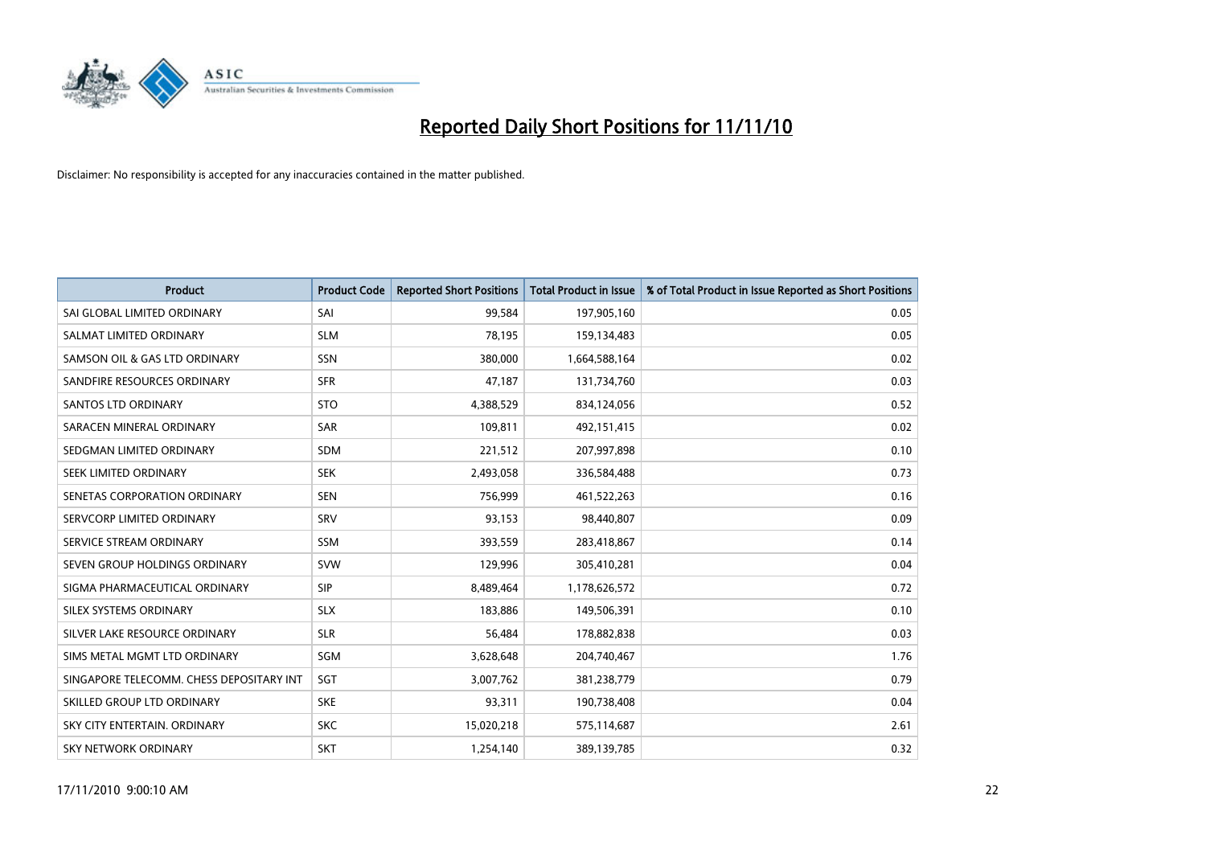

| <b>Product</b>                           | <b>Product Code</b> | <b>Reported Short Positions</b> | <b>Total Product in Issue</b> | % of Total Product in Issue Reported as Short Positions |
|------------------------------------------|---------------------|---------------------------------|-------------------------------|---------------------------------------------------------|
| SAI GLOBAL LIMITED ORDINARY              | SAI                 | 99,584                          | 197,905,160                   | 0.05                                                    |
| SALMAT LIMITED ORDINARY                  | <b>SLM</b>          | 78,195                          | 159,134,483                   | 0.05                                                    |
| SAMSON OIL & GAS LTD ORDINARY            | SSN                 | 380,000                         | 1,664,588,164                 | 0.02                                                    |
| SANDFIRE RESOURCES ORDINARY              | <b>SFR</b>          | 47,187                          | 131,734,760                   | 0.03                                                    |
| <b>SANTOS LTD ORDINARY</b>               | <b>STO</b>          | 4,388,529                       | 834,124,056                   | 0.52                                                    |
| SARACEN MINERAL ORDINARY                 | <b>SAR</b>          | 109,811                         | 492,151,415                   | 0.02                                                    |
| SEDGMAN LIMITED ORDINARY                 | <b>SDM</b>          | 221,512                         | 207,997,898                   | 0.10                                                    |
| <b>SEEK LIMITED ORDINARY</b>             | <b>SEK</b>          | 2,493,058                       | 336,584,488                   | 0.73                                                    |
| SENETAS CORPORATION ORDINARY             | <b>SEN</b>          | 756,999                         | 461,522,263                   | 0.16                                                    |
| SERVCORP LIMITED ORDINARY                | SRV                 | 93,153                          | 98,440,807                    | 0.09                                                    |
| SERVICE STREAM ORDINARY                  | <b>SSM</b>          | 393,559                         | 283,418,867                   | 0.14                                                    |
| SEVEN GROUP HOLDINGS ORDINARY            | <b>SVW</b>          | 129,996                         | 305,410,281                   | 0.04                                                    |
| SIGMA PHARMACEUTICAL ORDINARY            | <b>SIP</b>          | 8,489,464                       | 1,178,626,572                 | 0.72                                                    |
| SILEX SYSTEMS ORDINARY                   | <b>SLX</b>          | 183.886                         | 149,506,391                   | 0.10                                                    |
| SILVER LAKE RESOURCE ORDINARY            | <b>SLR</b>          | 56,484                          | 178,882,838                   | 0.03                                                    |
| SIMS METAL MGMT LTD ORDINARY             | SGM                 | 3,628,648                       | 204,740,467                   | 1.76                                                    |
| SINGAPORE TELECOMM. CHESS DEPOSITARY INT | SGT                 | 3,007,762                       | 381,238,779                   | 0.79                                                    |
| SKILLED GROUP LTD ORDINARY               | <b>SKE</b>          | 93,311                          | 190,738,408                   | 0.04                                                    |
| SKY CITY ENTERTAIN, ORDINARY             | <b>SKC</b>          | 15,020,218                      | 575,114,687                   | 2.61                                                    |
| <b>SKY NETWORK ORDINARY</b>              | <b>SKT</b>          | 1,254,140                       | 389,139,785                   | 0.32                                                    |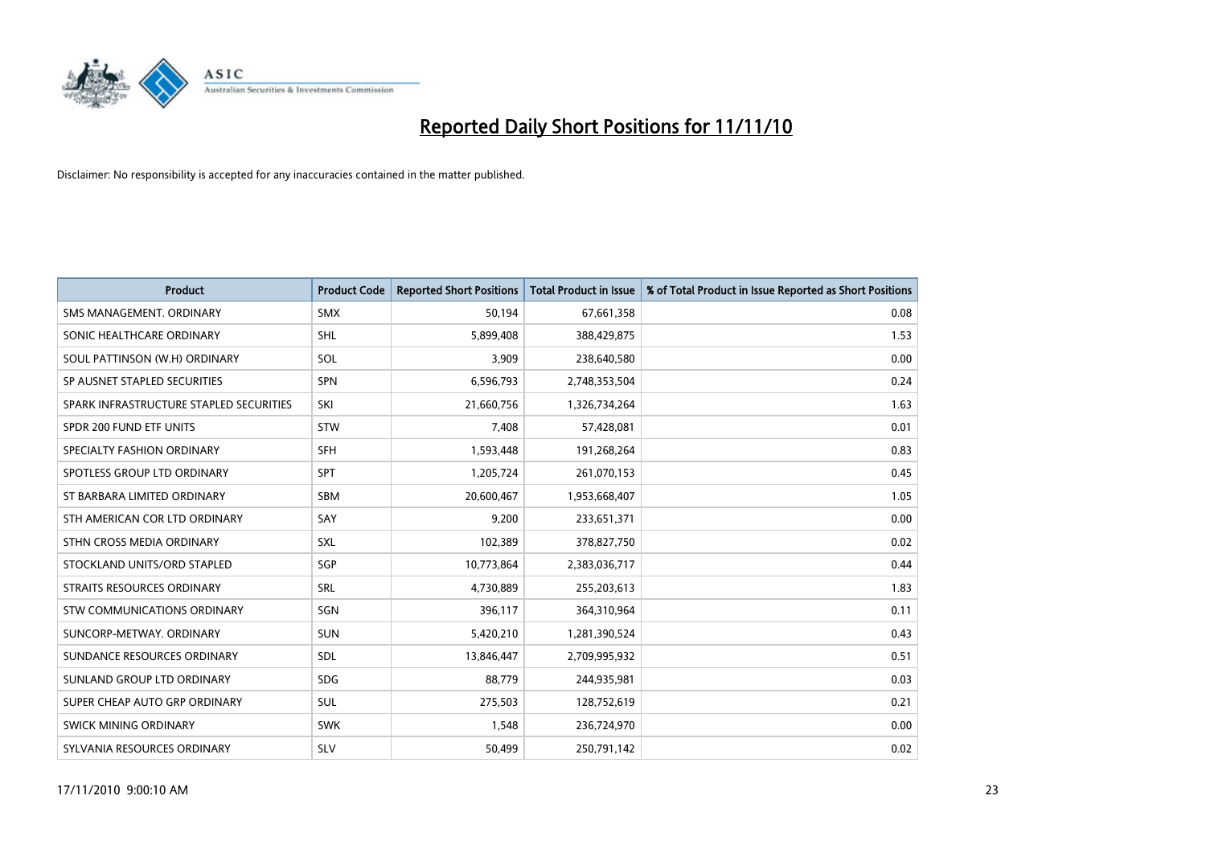

| <b>Product</b>                          | <b>Product Code</b> | <b>Reported Short Positions</b> | <b>Total Product in Issue</b> | % of Total Product in Issue Reported as Short Positions |
|-----------------------------------------|---------------------|---------------------------------|-------------------------------|---------------------------------------------------------|
| SMS MANAGEMENT, ORDINARY                | <b>SMX</b>          | 50,194                          | 67,661,358                    | 0.08                                                    |
| SONIC HEALTHCARE ORDINARY               | SHL                 | 5,899,408                       | 388,429,875                   | 1.53                                                    |
| SOUL PATTINSON (W.H) ORDINARY           | <b>SOL</b>          | 3,909                           | 238,640,580                   | 0.00                                                    |
| SP AUSNET STAPLED SECURITIES            | <b>SPN</b>          | 6,596,793                       | 2,748,353,504                 | 0.24                                                    |
| SPARK INFRASTRUCTURE STAPLED SECURITIES | SKI                 | 21,660,756                      | 1,326,734,264                 | 1.63                                                    |
| SPDR 200 FUND ETF UNITS                 | <b>STW</b>          | 7,408                           | 57,428,081                    | 0.01                                                    |
| SPECIALTY FASHION ORDINARY              | <b>SFH</b>          | 1,593,448                       | 191,268,264                   | 0.83                                                    |
| SPOTLESS GROUP LTD ORDINARY             | <b>SPT</b>          | 1,205,724                       | 261,070,153                   | 0.45                                                    |
| ST BARBARA LIMITED ORDINARY             | SBM                 | 20,600,467                      | 1,953,668,407                 | 1.05                                                    |
| STH AMERICAN COR LTD ORDINARY           | SAY                 | 9,200                           | 233,651,371                   | 0.00                                                    |
| STHN CROSS MEDIA ORDINARY               | <b>SXL</b>          | 102,389                         | 378,827,750                   | 0.02                                                    |
| STOCKLAND UNITS/ORD STAPLED             | <b>SGP</b>          | 10,773,864                      | 2,383,036,717                 | 0.44                                                    |
| STRAITS RESOURCES ORDINARY              | <b>SRL</b>          | 4,730,889                       | 255,203,613                   | 1.83                                                    |
| <b>STW COMMUNICATIONS ORDINARY</b>      | SGN                 | 396,117                         | 364,310,964                   | 0.11                                                    |
| SUNCORP-METWAY, ORDINARY                | <b>SUN</b>          | 5,420,210                       | 1,281,390,524                 | 0.43                                                    |
| SUNDANCE RESOURCES ORDINARY             | <b>SDL</b>          | 13,846,447                      | 2,709,995,932                 | 0.51                                                    |
| SUNLAND GROUP LTD ORDINARY              | <b>SDG</b>          | 88,779                          | 244,935,981                   | 0.03                                                    |
| SUPER CHEAP AUTO GRP ORDINARY           | <b>SUL</b>          | 275,503                         | 128,752,619                   | 0.21                                                    |
| <b>SWICK MINING ORDINARY</b>            | <b>SWK</b>          | 1.548                           | 236,724,970                   | 0.00                                                    |
| SYLVANIA RESOURCES ORDINARY             | <b>SLV</b>          | 50,499                          | 250,791,142                   | 0.02                                                    |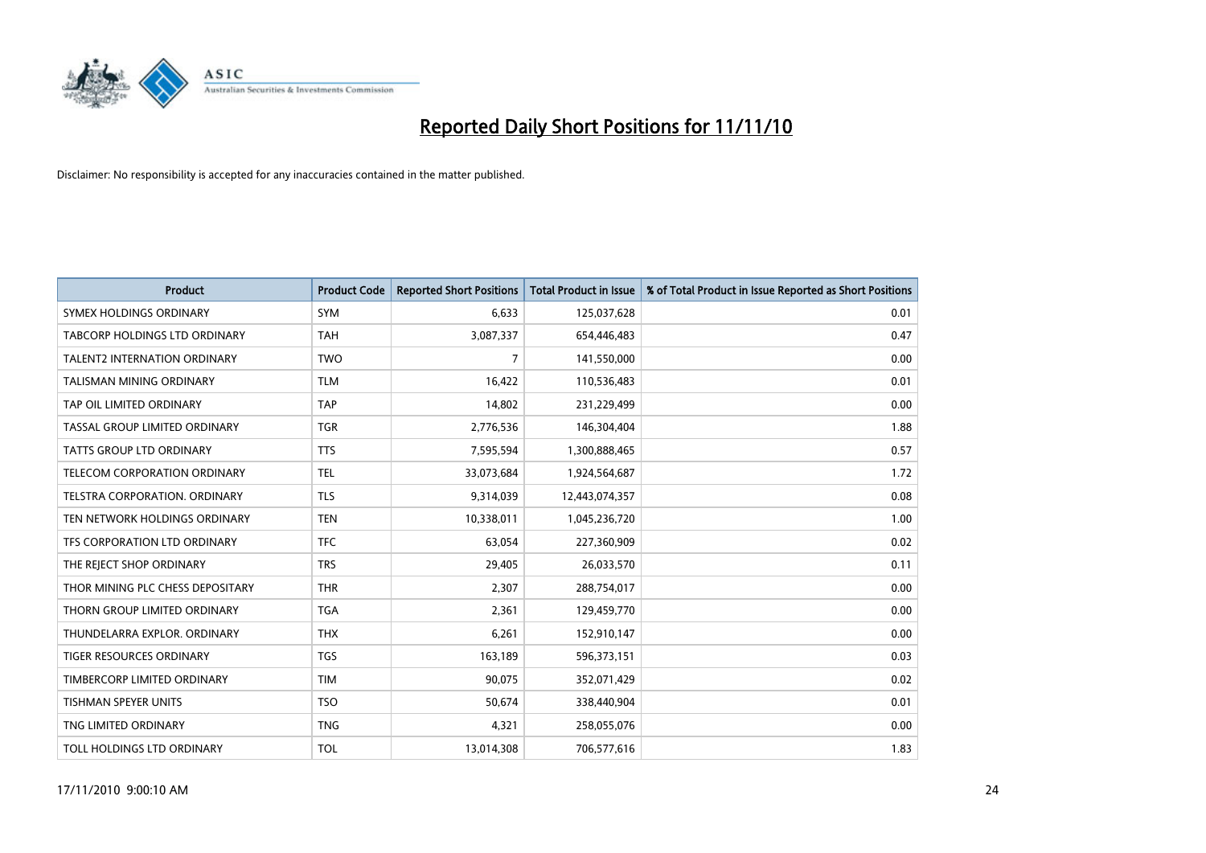

| <b>Product</b>                      | <b>Product Code</b> | <b>Reported Short Positions</b> | <b>Total Product in Issue</b> | % of Total Product in Issue Reported as Short Positions |
|-------------------------------------|---------------------|---------------------------------|-------------------------------|---------------------------------------------------------|
| SYMEX HOLDINGS ORDINARY             | <b>SYM</b>          | 6,633                           | 125,037,628                   | 0.01                                                    |
| TABCORP HOLDINGS LTD ORDINARY       | <b>TAH</b>          | 3,087,337                       | 654,446,483                   | 0.47                                                    |
| <b>TALENT2 INTERNATION ORDINARY</b> | <b>TWO</b>          | 7                               | 141,550,000                   | 0.00                                                    |
| TALISMAN MINING ORDINARY            | <b>TLM</b>          | 16,422                          | 110,536,483                   | 0.01                                                    |
| TAP OIL LIMITED ORDINARY            | <b>TAP</b>          | 14,802                          | 231,229,499                   | 0.00                                                    |
| TASSAL GROUP LIMITED ORDINARY       | <b>TGR</b>          | 2,776,536                       | 146,304,404                   | 1.88                                                    |
| TATTS GROUP LTD ORDINARY            | <b>TTS</b>          | 7,595,594                       | 1,300,888,465                 | 0.57                                                    |
| TELECOM CORPORATION ORDINARY        | <b>TEL</b>          | 33,073,684                      | 1,924,564,687                 | 1.72                                                    |
| TELSTRA CORPORATION. ORDINARY       | <b>TLS</b>          | 9,314,039                       | 12,443,074,357                | 0.08                                                    |
| TEN NETWORK HOLDINGS ORDINARY       | <b>TEN</b>          | 10,338,011                      | 1,045,236,720                 | 1.00                                                    |
| TFS CORPORATION LTD ORDINARY        | <b>TFC</b>          | 63,054                          | 227,360,909                   | 0.02                                                    |
| THE REJECT SHOP ORDINARY            | <b>TRS</b>          | 29,405                          | 26,033,570                    | 0.11                                                    |
| THOR MINING PLC CHESS DEPOSITARY    | <b>THR</b>          | 2,307                           | 288,754,017                   | 0.00                                                    |
| THORN GROUP LIMITED ORDINARY        | <b>TGA</b>          | 2,361                           | 129,459,770                   | 0.00                                                    |
| THUNDELARRA EXPLOR, ORDINARY        | <b>THX</b>          | 6,261                           | 152,910,147                   | 0.00                                                    |
| TIGER RESOURCES ORDINARY            | <b>TGS</b>          | 163,189                         | 596,373,151                   | 0.03                                                    |
| TIMBERCORP LIMITED ORDINARY         | <b>TIM</b>          | 90,075                          | 352,071,429                   | 0.02                                                    |
| TISHMAN SPEYER UNITS                | <b>TSO</b>          | 50,674                          | 338,440,904                   | 0.01                                                    |
| TNG LIMITED ORDINARY                | <b>TNG</b>          | 4,321                           | 258,055,076                   | 0.00                                                    |
| TOLL HOLDINGS LTD ORDINARY          | <b>TOL</b>          | 13,014,308                      | 706,577,616                   | 1.83                                                    |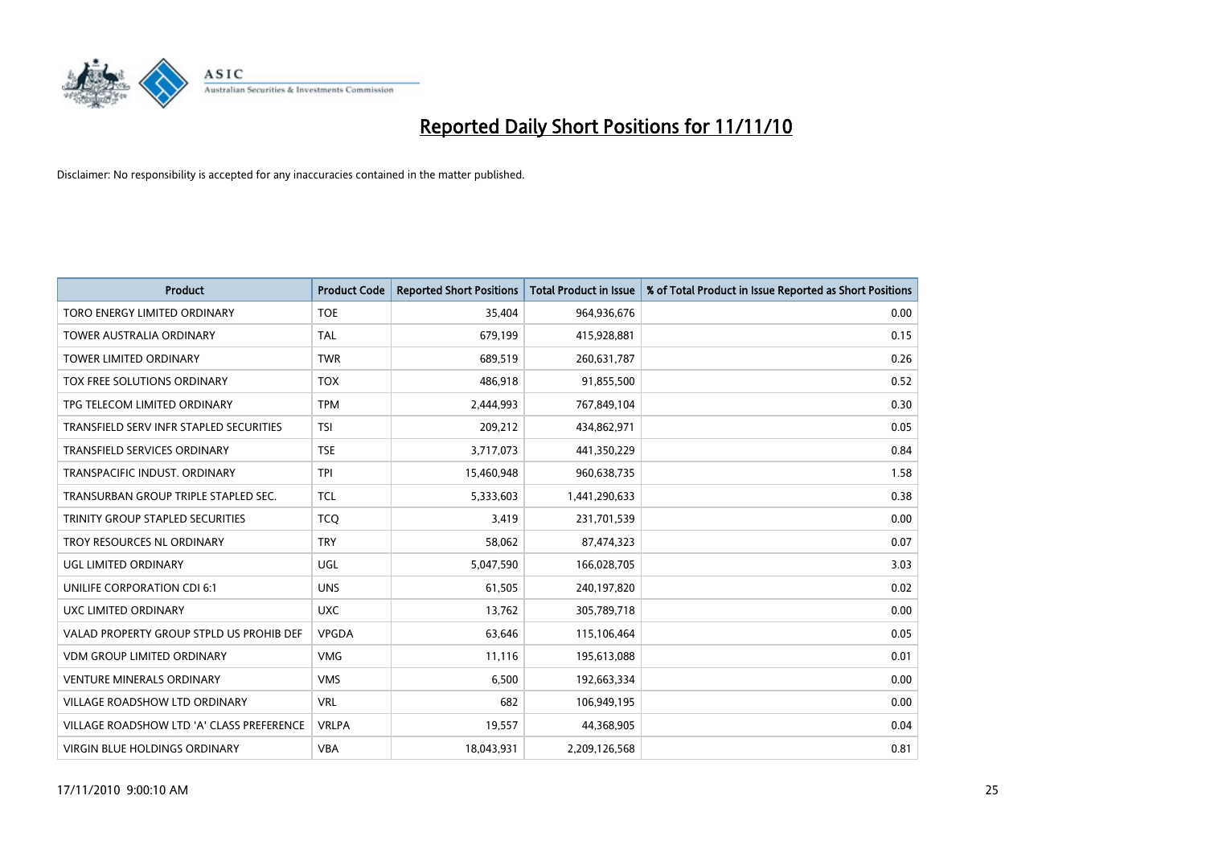

| <b>Product</b>                            | <b>Product Code</b> | <b>Reported Short Positions</b> | Total Product in Issue | % of Total Product in Issue Reported as Short Positions |
|-------------------------------------------|---------------------|---------------------------------|------------------------|---------------------------------------------------------|
| TORO ENERGY LIMITED ORDINARY              | <b>TOE</b>          | 35,404                          | 964,936,676            | 0.00                                                    |
| TOWER AUSTRALIA ORDINARY                  | <b>TAL</b>          | 679,199                         | 415,928,881            | 0.15                                                    |
| <b>TOWER LIMITED ORDINARY</b>             | <b>TWR</b>          | 689,519                         | 260,631,787            | 0.26                                                    |
| TOX FREE SOLUTIONS ORDINARY               | <b>TOX</b>          | 486,918                         | 91,855,500             | 0.52                                                    |
| TPG TELECOM LIMITED ORDINARY              | <b>TPM</b>          | 2,444,993                       | 767,849,104            | 0.30                                                    |
| TRANSFIELD SERV INFR STAPLED SECURITIES   | <b>TSI</b>          | 209,212                         | 434,862,971            | 0.05                                                    |
| <b>TRANSFIELD SERVICES ORDINARY</b>       | <b>TSE</b>          | 3,717,073                       | 441,350,229            | 0.84                                                    |
| TRANSPACIFIC INDUST, ORDINARY             | <b>TPI</b>          | 15,460,948                      | 960,638,735            | 1.58                                                    |
| TRANSURBAN GROUP TRIPLE STAPLED SEC.      | <b>TCL</b>          | 5,333,603                       | 1,441,290,633          | 0.38                                                    |
| TRINITY GROUP STAPLED SECURITIES          | <b>TCO</b>          | 3,419                           | 231,701,539            | 0.00                                                    |
| TROY RESOURCES NL ORDINARY                | <b>TRY</b>          | 58,062                          | 87,474,323             | 0.07                                                    |
| <b>UGL LIMITED ORDINARY</b>               | UGL                 | 5,047,590                       | 166,028,705            | 3.03                                                    |
| UNILIFE CORPORATION CDI 6:1               | <b>UNS</b>          | 61,505                          | 240,197,820            | 0.02                                                    |
| UXC LIMITED ORDINARY                      | <b>UXC</b>          | 13,762                          | 305,789,718            | 0.00                                                    |
| VALAD PROPERTY GROUP STPLD US PROHIB DEF  | <b>VPGDA</b>        | 63,646                          | 115,106,464            | 0.05                                                    |
| VDM GROUP LIMITED ORDINARY                | <b>VMG</b>          | 11,116                          | 195,613,088            | 0.01                                                    |
| <b>VENTURE MINERALS ORDINARY</b>          | <b>VMS</b>          | 6,500                           | 192,663,334            | 0.00                                                    |
| VILLAGE ROADSHOW LTD ORDINARY             | <b>VRL</b>          | 682                             | 106,949,195            | 0.00                                                    |
| VILLAGE ROADSHOW LTD 'A' CLASS PREFERENCE | <b>VRLPA</b>        | 19,557                          | 44,368,905             | 0.04                                                    |
| VIRGIN BLUE HOLDINGS ORDINARY             | <b>VBA</b>          | 18,043,931                      | 2,209,126,568          | 0.81                                                    |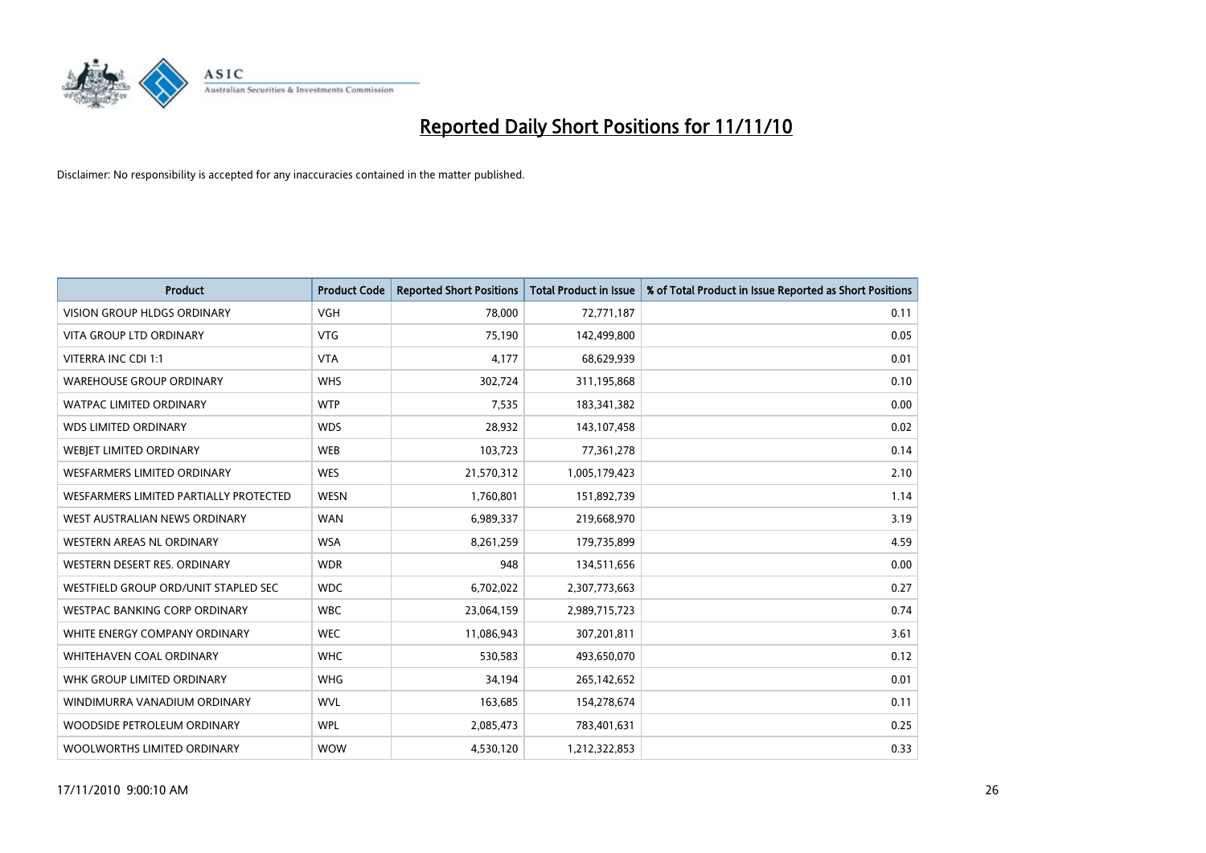

| <b>Product</b>                         | <b>Product Code</b> | <b>Reported Short Positions</b> | <b>Total Product in Issue</b> | % of Total Product in Issue Reported as Short Positions |
|----------------------------------------|---------------------|---------------------------------|-------------------------------|---------------------------------------------------------|
| <b>VISION GROUP HLDGS ORDINARY</b>     | <b>VGH</b>          | 78,000                          | 72,771,187                    | 0.11                                                    |
| VITA GROUP LTD ORDINARY                | <b>VTG</b>          | 75,190                          | 142,499,800                   | 0.05                                                    |
| VITERRA INC CDI 1:1                    | <b>VTA</b>          | 4,177                           | 68,629,939                    | 0.01                                                    |
| <b>WAREHOUSE GROUP ORDINARY</b>        | <b>WHS</b>          | 302,724                         | 311,195,868                   | 0.10                                                    |
| <b>WATPAC LIMITED ORDINARY</b>         | <b>WTP</b>          | 7,535                           | 183,341,382                   | 0.00                                                    |
| <b>WDS LIMITED ORDINARY</b>            | <b>WDS</b>          | 28,932                          | 143,107,458                   | 0.02                                                    |
| <b>WEBIET LIMITED ORDINARY</b>         | <b>WEB</b>          | 103,723                         | 77,361,278                    | 0.14                                                    |
| <b>WESFARMERS LIMITED ORDINARY</b>     | <b>WES</b>          | 21,570,312                      | 1,005,179,423                 | 2.10                                                    |
| WESFARMERS LIMITED PARTIALLY PROTECTED | <b>WESN</b>         | 1,760,801                       | 151,892,739                   | 1.14                                                    |
| WEST AUSTRALIAN NEWS ORDINARY          | <b>WAN</b>          | 6,989,337                       | 219,668,970                   | 3.19                                                    |
| WESTERN AREAS NL ORDINARY              | <b>WSA</b>          | 8,261,259                       | 179,735,899                   | 4.59                                                    |
| WESTERN DESERT RES. ORDINARY           | <b>WDR</b>          | 948                             | 134,511,656                   | 0.00                                                    |
| WESTFIELD GROUP ORD/UNIT STAPLED SEC   | <b>WDC</b>          | 6,702,022                       | 2,307,773,663                 | 0.27                                                    |
| WESTPAC BANKING CORP ORDINARY          | <b>WBC</b>          | 23,064,159                      | 2,989,715,723                 | 0.74                                                    |
| WHITE ENERGY COMPANY ORDINARY          | <b>WEC</b>          | 11,086,943                      | 307,201,811                   | 3.61                                                    |
| <b>WHITEHAVEN COAL ORDINARY</b>        | <b>WHC</b>          | 530,583                         | 493,650,070                   | 0.12                                                    |
| WHK GROUP LIMITED ORDINARY             | <b>WHG</b>          | 34,194                          | 265,142,652                   | 0.01                                                    |
| WINDIMURRA VANADIUM ORDINARY           | <b>WVL</b>          | 163,685                         | 154,278,674                   | 0.11                                                    |
| WOODSIDE PETROLEUM ORDINARY            | <b>WPL</b>          | 2,085,473                       | 783,401,631                   | 0.25                                                    |
| WOOLWORTHS LIMITED ORDINARY            | <b>WOW</b>          | 4,530,120                       | 1,212,322,853                 | 0.33                                                    |